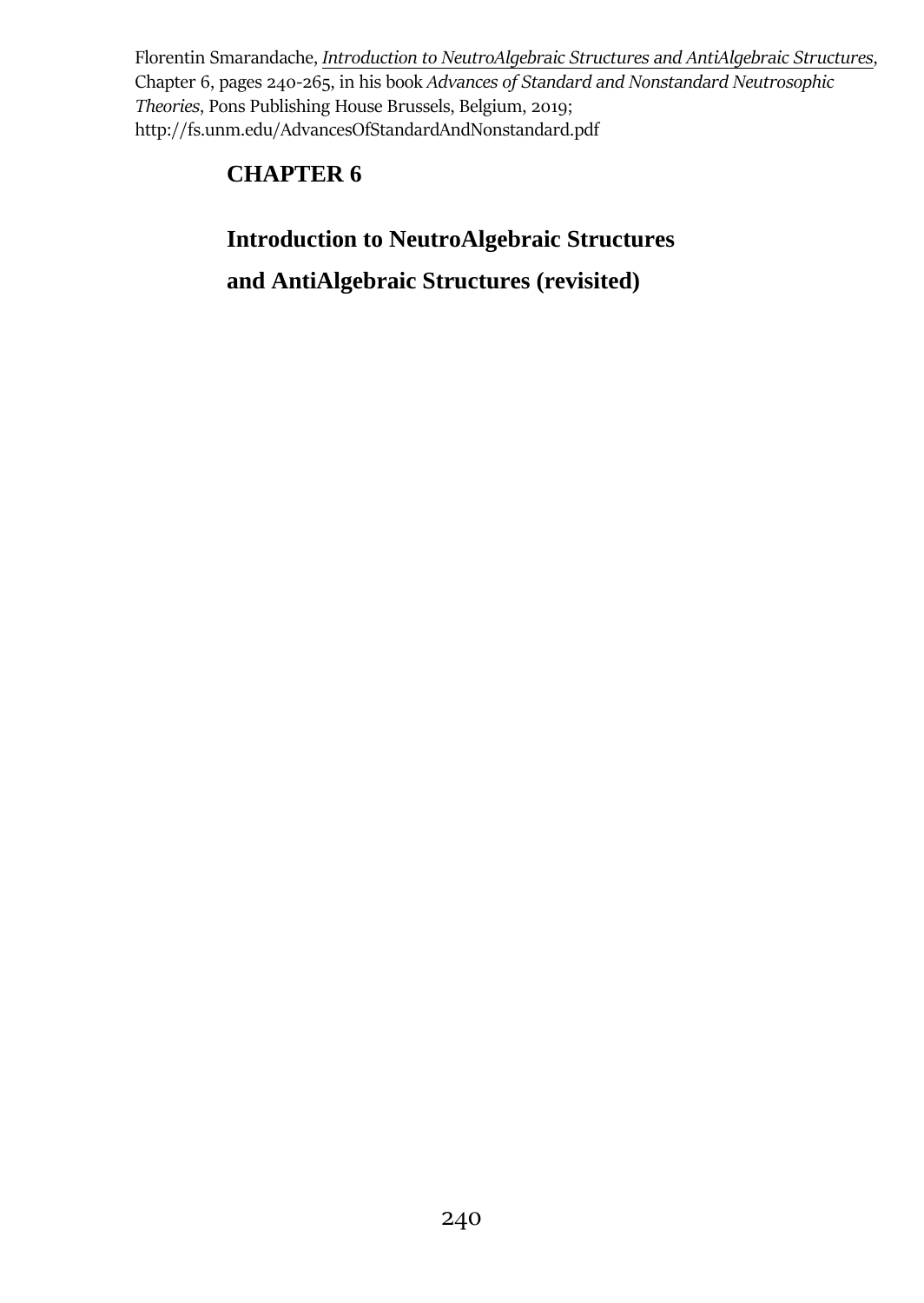Florentin Smarandache, *Introduction to NeutroAlgebraic Structures and AntiAlgebraic Structures*, Chapter 6, pages 240-265, in his book *Advances of Standard and Nonstandard Neutrosophic Theories*, Pons Publishing House Brussels, Belgium, 2019; http://fs.unm.edu/AdvancesOfStandardAndNonstandard.pdf

# **CHAPTER 6**

# **Introduction to NeutroAlgebraic Structures and AntiAlgebraic Structures (revisited)**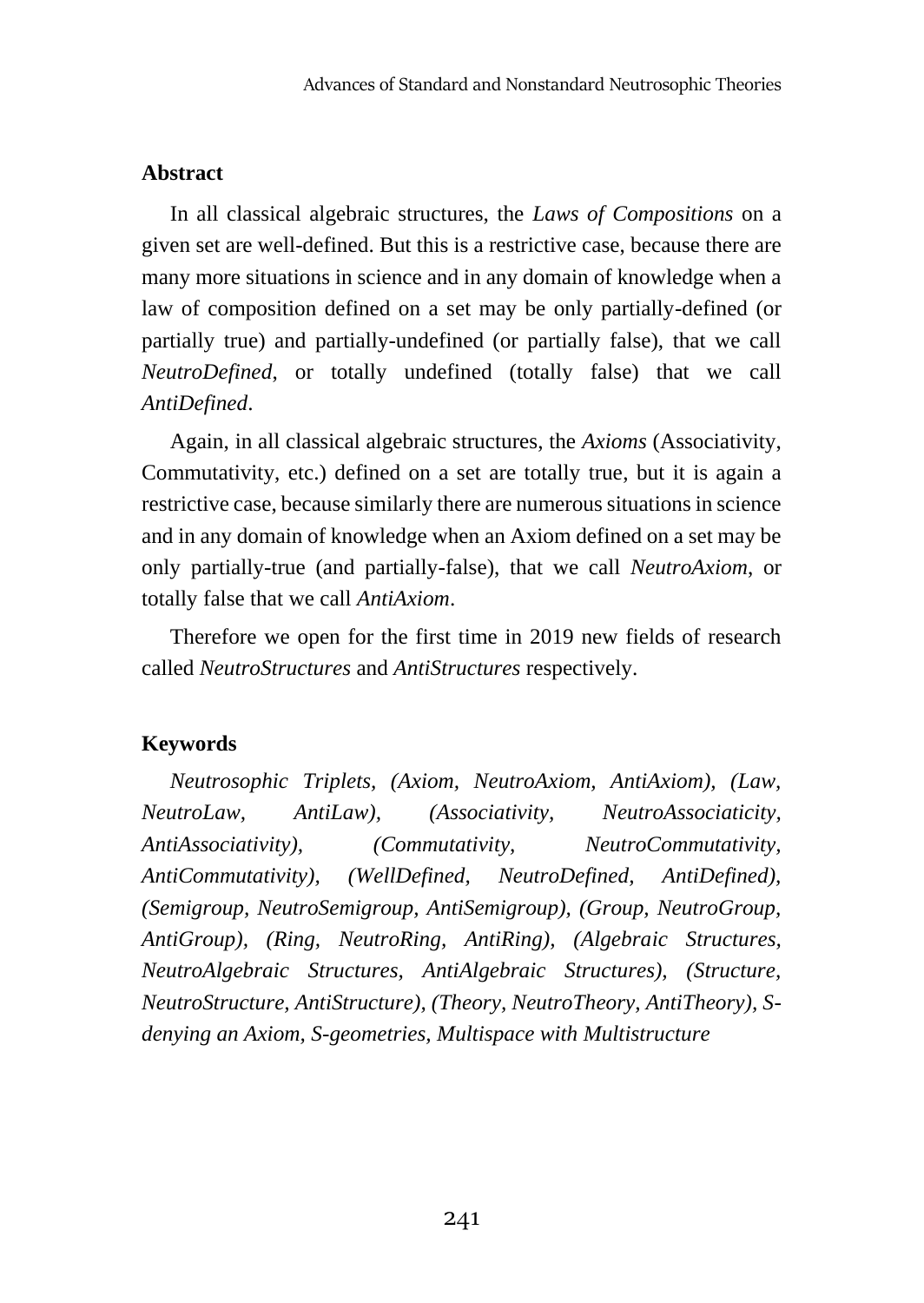# **Abstract**

In all classical algebraic structures, the *Laws of Compositions* on a given set are well-defined. But this is a restrictive case, because there are many more situations in science and in any domain of knowledge when a law of composition defined on a set may be only partially-defined (or partially true) and partially-undefined (or partially false), that we call *NeutroDefined*, or totally undefined (totally false) that we call *AntiDefined*.

Again, in all classical algebraic structures, the *Axioms* (Associativity, Commutativity, etc.) defined on a set are totally true, but it is again a restrictive case, because similarly there are numerous situations in science and in any domain of knowledge when an Axiom defined on a set may be only partially-true (and partially-false), that we call *NeutroAxiom*, or totally false that we call *AntiAxiom*.

Therefore we open for the first time in 2019 new fields of research called *NeutroStructures* and *AntiStructures* respectively.

#### **Keywords**

*Neutrosophic Triplets, (Axiom, NeutroAxiom, AntiAxiom), (Law, NeutroLaw, AntiLaw), (Associativity, NeutroAssociaticity, AntiAssociativity), (Commutativity, NeutroCommutativity, AntiCommutativity), (WellDefined, NeutroDefined, AntiDefined), (Semigroup, NeutroSemigroup, AntiSemigroup), (Group, NeutroGroup, AntiGroup), (Ring, NeutroRing, AntiRing), (Algebraic Structures, NeutroAlgebraic Structures, AntiAlgebraic Structures), (Structure, NeutroStructure, AntiStructure), (Theory, NeutroTheory, AntiTheory), Sdenying an Axiom, S-geometries, Multispace with Multistructure*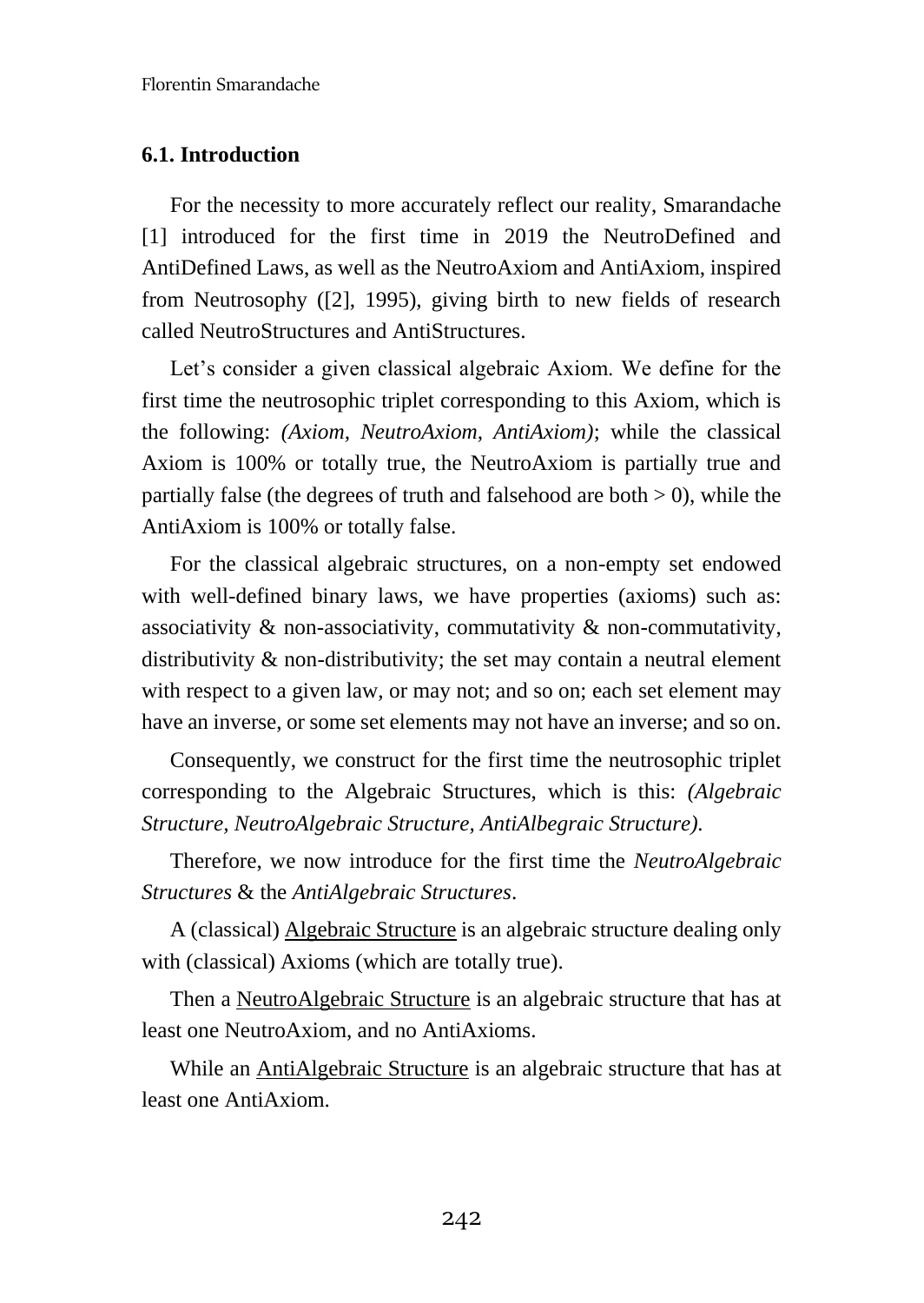#### **6.1. Introduction**

For the necessity to more accurately reflect our reality, Smarandache [1] introduced for the first time in 2019 the NeutroDefined and AntiDefined Laws, as well as the NeutroAxiom and AntiAxiom, inspired from Neutrosophy ([2], 1995), giving birth to new fields of research called NeutroStructures and AntiStructures.

Let's consider a given classical algebraic Axiom. We define for the first time the neutrosophic triplet corresponding to this Axiom, which is the following: *(Axiom, NeutroAxiom, AntiAxiom)*; while the classical Axiom is 100% or totally true, the NeutroAxiom is partially true and partially false (the degrees of truth and falsehood are both  $> 0$ ), while the AntiAxiom is 100% or totally false.

For the classical algebraic structures, on a non-empty set endowed with well-defined binary laws, we have properties (axioms) such as: associativity & non-associativity, commutativity & non-commutativity, distributivity & non-distributivity; the set may contain a neutral element with respect to a given law, or may not; and so on; each set element may have an inverse, or some set elements may not have an inverse; and so on.

Consequently, we construct for the first time the neutrosophic triplet corresponding to the Algebraic Structures, which is this: *(Algebraic Structure, NeutroAlgebraic Structure, AntiAlbegraic Structure).*

Therefore, we now introduce for the first time the *NeutroAlgebraic Structures* & the *AntiAlgebraic Structures*.

A (classical) Algebraic Structure is an algebraic structure dealing only with (classical) Axioms (which are totally true).

Then a NeutroAlgebraic Structure is an algebraic structure that has at least one NeutroAxiom, and no AntiAxioms.

While an AntiAlgebraic Structure is an algebraic structure that has at least one AntiAxiom.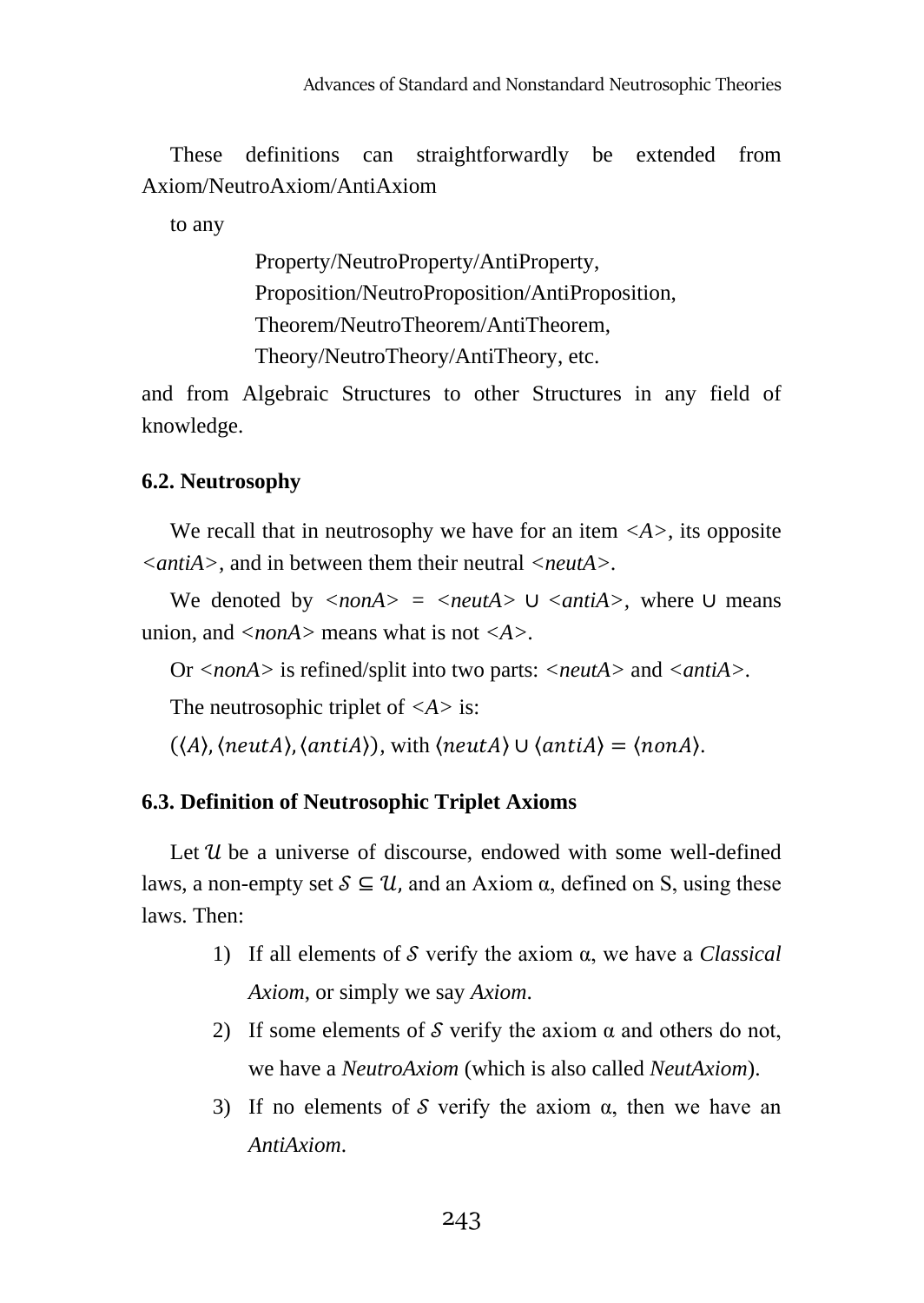These definitions can straightforwardly be extended from Axiom/NeutroAxiom/AntiAxiom

to any

Property/NeutroProperty/AntiProperty, Proposition/NeutroProposition/AntiProposition, Theorem/NeutroTheorem/AntiTheorem, Theory/NeutroTheory/AntiTheory, etc.

and from Algebraic Structures to other Structures in any field of knowledge.

# **6.2. Neutrosophy**

We recall that in neutrosophy we have for an item  $\langle A \rangle$ , its opposite *<antiA>,* and in between them their neutral *<neutA>.*

We denoted by *<nonA> = <neutA>* ∪ *<antiA>,* where ∪ means union, and *<nonA>* means what is not *<A>.*

Or *<nonA>* is refined/split into two parts: *<neutA>* and *<antiA>.*

The neutrosophic triplet of *<A>* is:

 $(\langle A \rangle, \langle neutral \rangle, \langle antiA \rangle)$ , with  $\langle neutral \rangle \cup \langle antiA \rangle = \langle nonA \rangle$ .

# **6.3. Definition of Neutrosophic Triplet Axioms**

Let  $\mathcal U$  be a universe of discourse, endowed with some well-defined laws, a non-empty set  $S \subseteq \mathcal{U}$ , and an Axiom  $\alpha$ , defined on S, using these laws. Then:

- 1) If all elements of verify the axiom α, we have a *Classical Axiom*, or simply we say *Axiom*.
- 2) If some elements of  $S$  verify the axiom  $\alpha$  and others do not, we have a *NeutroAxiom* (which is also called *NeutAxiom*).
- 3) If no elements of  $S$  verify the axiom  $\alpha$ , then we have an *AntiAxiom*.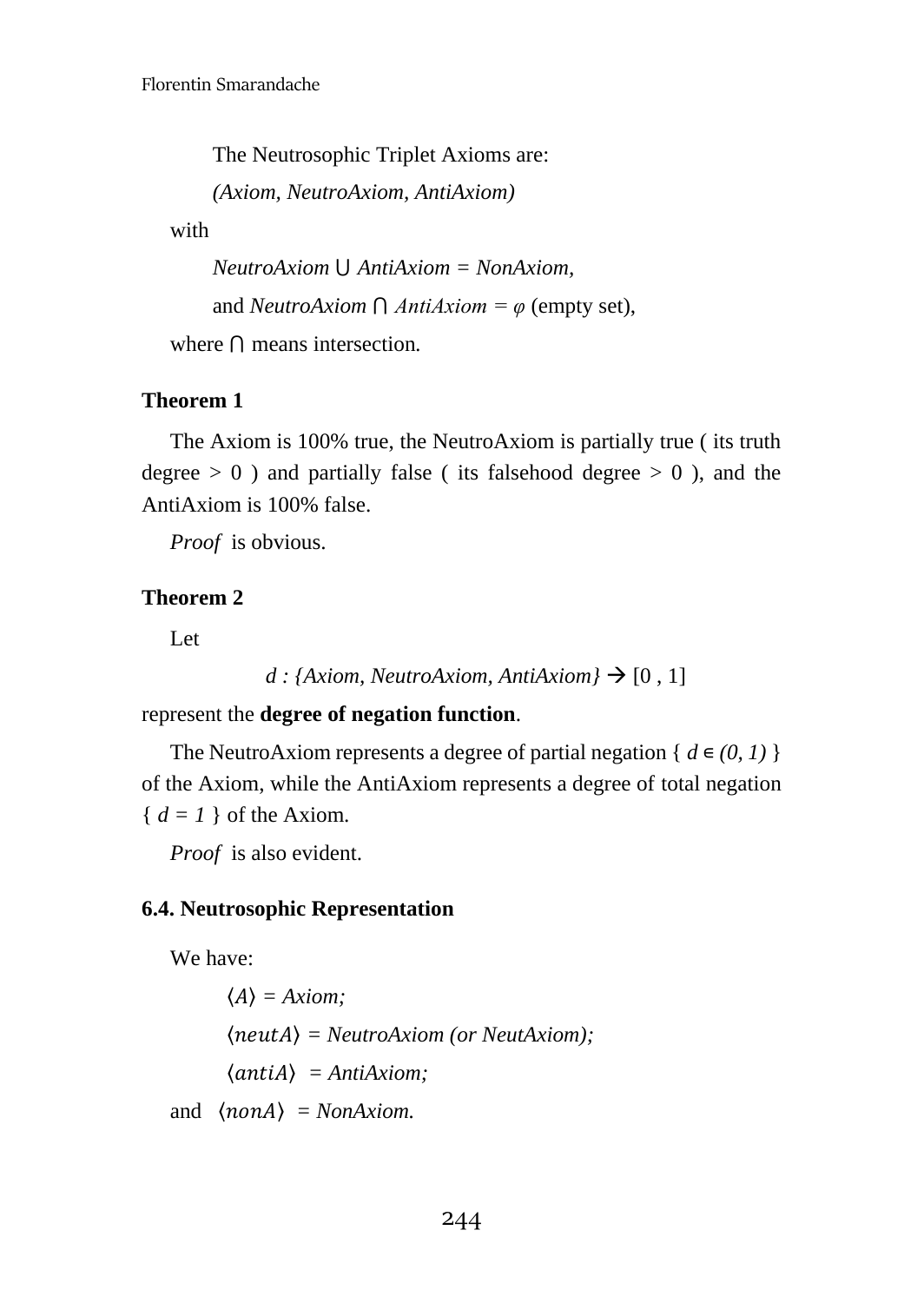The Neutrosophic Triplet Axioms are:

*(Axiom, NeutroAxiom, AntiAxiom)*

with

*NeutroAxiom* ⋃ *AntiAxiom = NonAxiom,*  and *NeutroAxiom*  $\bigcap$  *AntiAxiom* =  $\varphi$  (empty set),

where ⋂ means intersection*.*

# **Theorem 1**

The Axiom is 100% true, the NeutroAxiom is partially true ( its truth degree  $> 0$ ) and partially false (its falsehood degree  $> 0$ ), and the AntiAxiom is 100% false.

*Proof* is obvious.

# **Theorem 2**

Let

```
d : {Axiom, NeutroAxiom, AntiAxiom} \rightarrow [0, 1]
```
represent the **degree of negation function**.

The NeutroAxiom represents a degree of partial negation {  $d \in (0, 1)$  } of the Axiom, while the AntiAxiom represents a degree of total negation  ${ d = 1 }$  of the Axiom.

*Proof* is also evident.

#### **6.4. Neutrosophic Representation**

We have:

 $\langle A \rangle$  = Axiom; 〈〉 *= NeutroAxiom (or NeutAxiom);*  $\langle$ *antiA* $\rangle$  = *AntiAxiom*; and  $\langle$ *nonA* $\rangle$  = *NonAxiom.*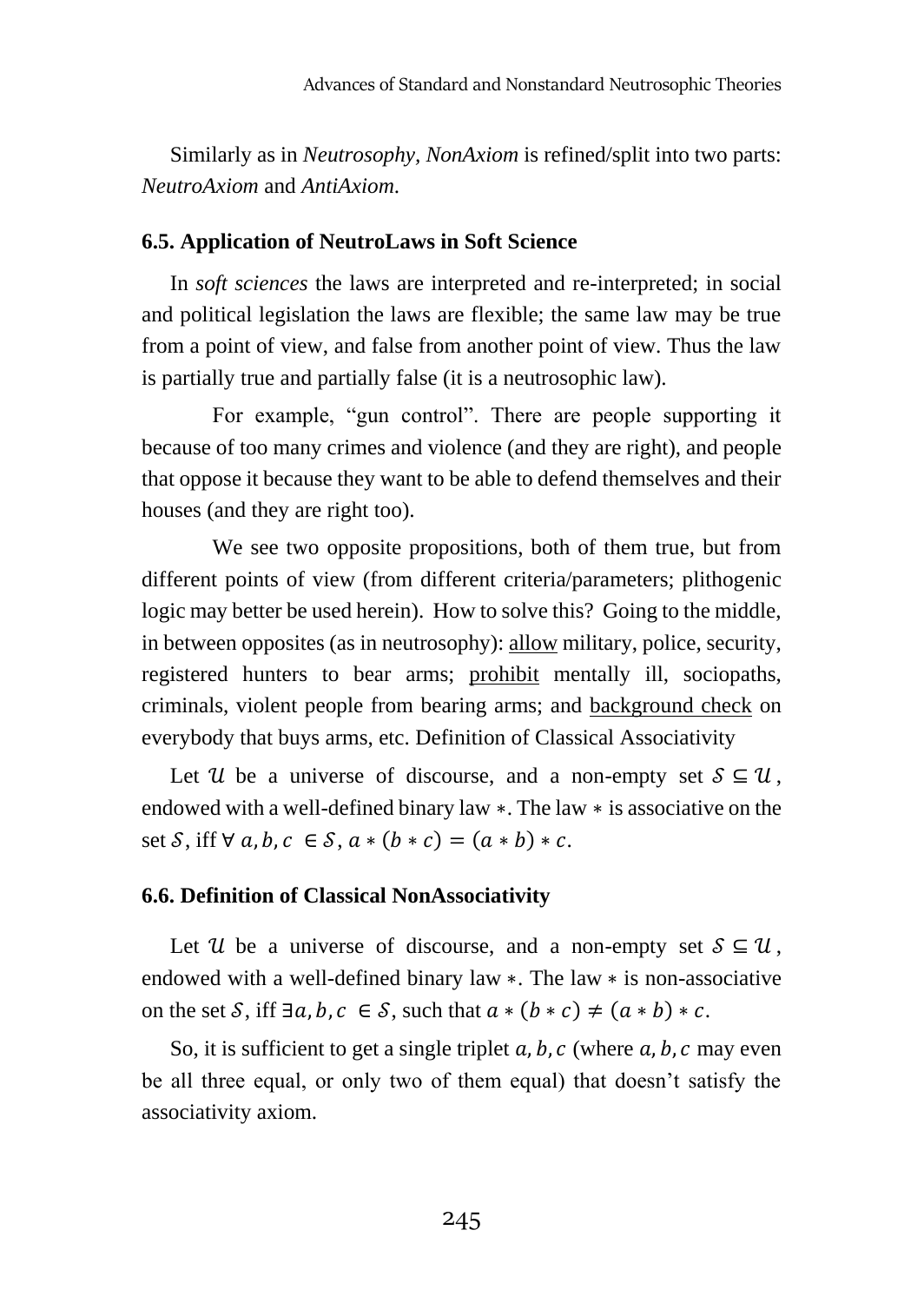Similarly as in *Neutrosophy, NonAxiom* is refined/split into two parts: *NeutroAxiom* and *AntiAxiom*.

#### **6.5. Application of NeutroLaws in Soft Science**

In *soft sciences* the laws are interpreted and re-interpreted; in social and political legislation the laws are flexible; the same law may be true from a point of view, and false from another point of view. Thus the law is partially true and partially false (it is a neutrosophic law).

For example, "gun control". There are people supporting it because of too many crimes and violence (and they are right), and people that oppose it because they want to be able to defend themselves and their houses (and they are right too).

We see two opposite propositions, both of them true, but from different points of view (from different criteria/parameters; plithogenic logic may better be used herein). How to solve this? Going to the middle, in between opposites (as in neutrosophy): allow military, police, security, registered hunters to bear arms; prohibit mentally ill, sociopaths, criminals, violent people from bearing arms; and background check on everybody that buys arms, etc. Definition of Classical Associativity

Let U be a universe of discourse, and a non-empty set  $S \subseteq U$ , endowed with a well-defined binary law ∗. The law ∗ is associative on the set S, iff  $\forall a, b, c \in S$ ,  $a * (b * c) = (a * b) * c$ .

#### **6.6. Definition of Classical NonAssociativity**

Let U be a universe of discourse, and a non-empty set  $S \subseteq \mathcal{U}$ , endowed with a well-defined binary law ∗. The law ∗ is non-associative on the set S, iff  $\exists a, b, c \in S$ , such that  $a * (b * c) \neq (a * b) * c$ .

So, it is sufficient to get a single triplet  $a, b, c$  (where  $a, b, c$  may even be all three equal, or only two of them equal) that doesn't satisfy the associativity axiom.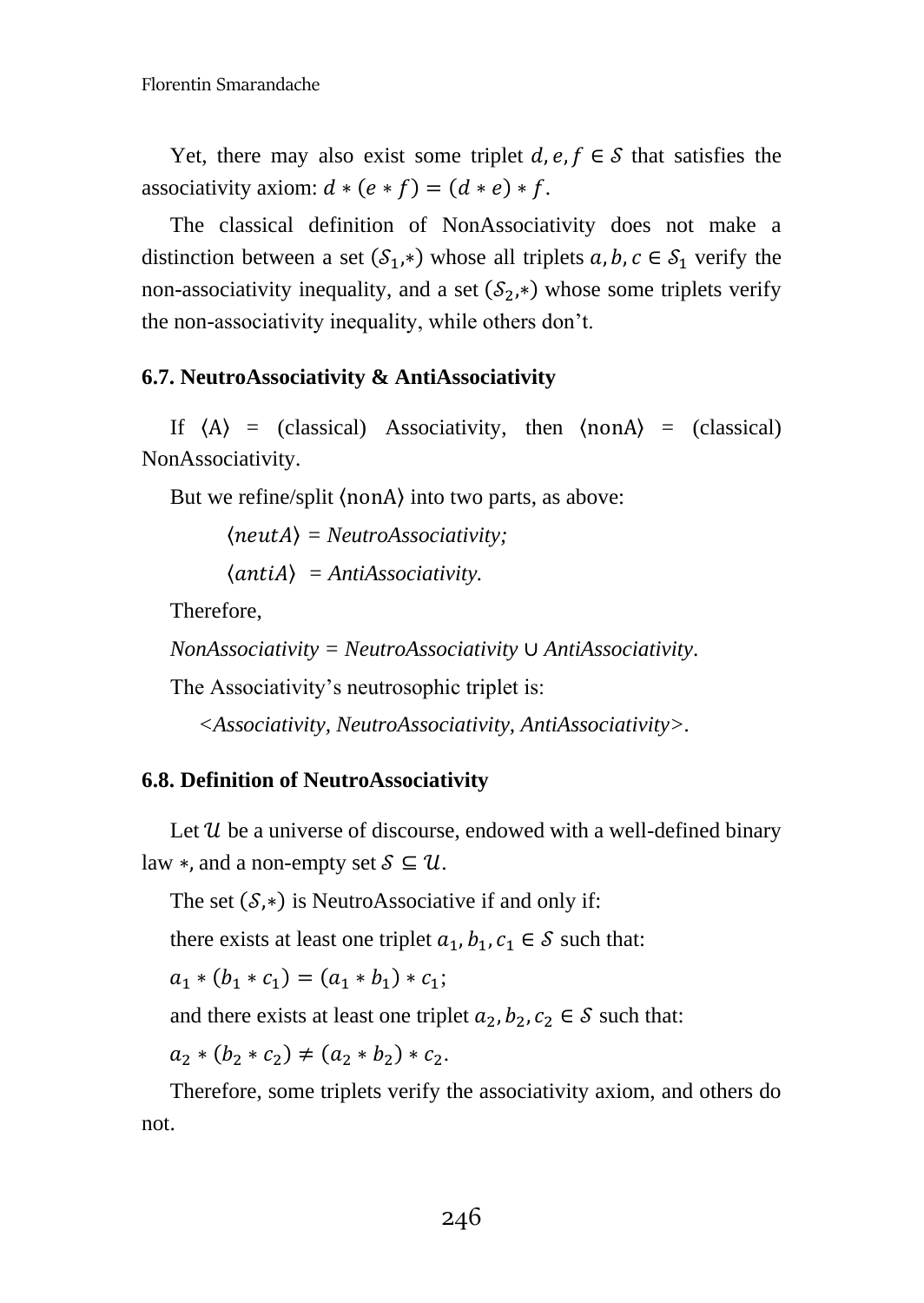Yet, there may also exist some triplet  $d, e, f \in S$  that satisfies the associativity axiom:  $d * (e * f) = (d * e) * f$ .

The classical definition of NonAssociativity does not make a distinction between a set  $(S_1, *)$  whose all triplets  $a, b, c \in S_1$  verify the non-associativity inequality, and a set  $(S_2, *)$  whose some triplets verify the non-associativity inequality, while others don't.

# **6.7. NeutroAssociativity & AntiAssociativity**

If  $\langle A \rangle$  = (classical) Associativity, then  $\langle \text{non} A \rangle$  = (classical) NonAssociativity.

But we refine/split 〈nonA〉 into two parts, as above:

〈〉 *= NeutroAssociativity;*

 $\langle$ *antiA* $\rangle$  = *AntiAssociativity.* 

Therefore,

*NonAssociativity = NeutroAssociativity* ∪ *AntiAssociativity*.

The Associativity's neutrosophic triplet is:

*<Associativity, NeutroAssociativity, AntiAssociativity>.*

# **6.8. Definition of NeutroAssociativity**

Let  $\mathcal U$  be a universe of discourse, endowed with a well-defined binary law  $*$ , and a non-empty set  $S \subseteq \mathcal{U}$ .

The set  $(S,*)$  is NeutroAssociative if and only if:

there exists at least one triplet  $a_1, b_1, c_1 \in S$  such that:

 $a_1 * (b_1 * c_1) = (a_1 * b_1) * c_1;$ 

and there exists at least one triplet  $a_2, b_2, c_2 \in S$  such that:

 $a_2 * (b_2 * c_2) \neq (a_2 * b_2) * c_2.$ 

Therefore, some triplets verify the associativity axiom, and others do not.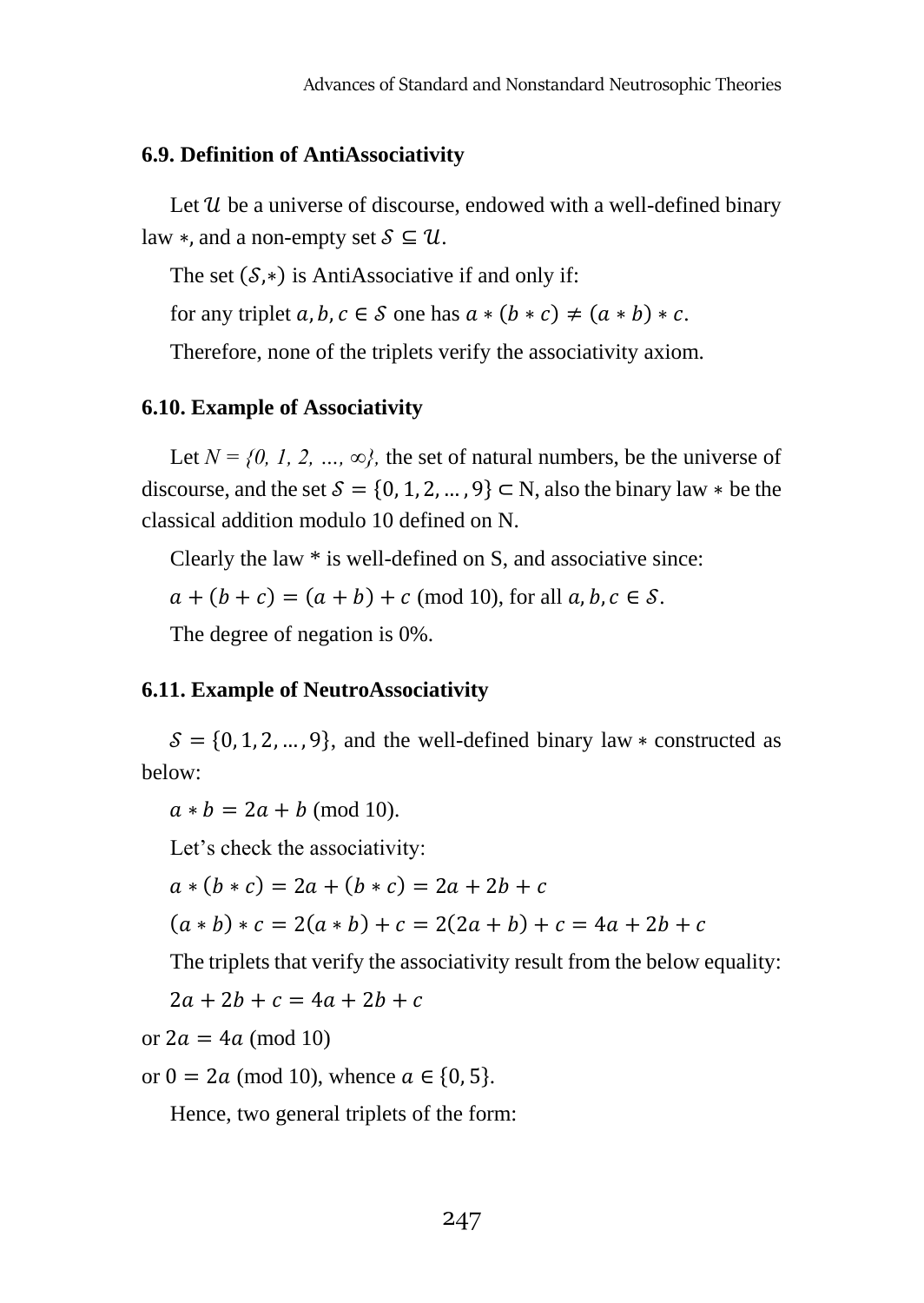# **6.9. Definition of AntiAssociativity**

Let  $\mathcal U$  be a universe of discourse, endowed with a well-defined binary law  $*$ , and a non-empty set  $S \subseteq \mathcal{U}$ .

The set  $(S,*)$  is AntiAssociative if and only if:

for any triplet  $a, b, c \in S$  one has  $a * (b * c) \neq (a * b) * c$ .

Therefore, none of the triplets verify the associativity axiom.

# **6.10. Example of Associativity**

Let  $N = \{0, 1, 2, ..., \infty\}$ , the set of natural numbers, be the universe of discourse, and the set  $S = \{0, 1, 2, ..., 9\} \subset N$ , also the binary law  $*$  be the classical addition modulo 10 defined on N.

Clearly the law \* is well-defined on S, and associative since:

 $a + (b + c) = (a + b) + c \pmod{10}$ , for all  $a, b, c \in S$ .

The degree of negation is 0%.

# **6.11. Example of NeutroAssociativity**

 $S = \{0, 1, 2, ..., 9\}$ , and the well-defined binary law  $*$  constructed as below:

 $a * b = 2a + b \pmod{10}$ .

Let's check the associativity:

 $a * (b * c) = 2a + (b * c) = 2a + 2b + c$ 

 $(a * b) * c = 2(a * b) + c = 2(2a + b) + c = 4a + 2b + c$ 

The triplets that verify the associativity result from the below equality:

 $2a + 2b + c = 4a + 2b + c$ 

or  $2a = 4a \pmod{10}$ 

or  $0 = 2a \pmod{10}$ , whence  $a \in \{0, 5\}$ .

Hence, two general triplets of the form: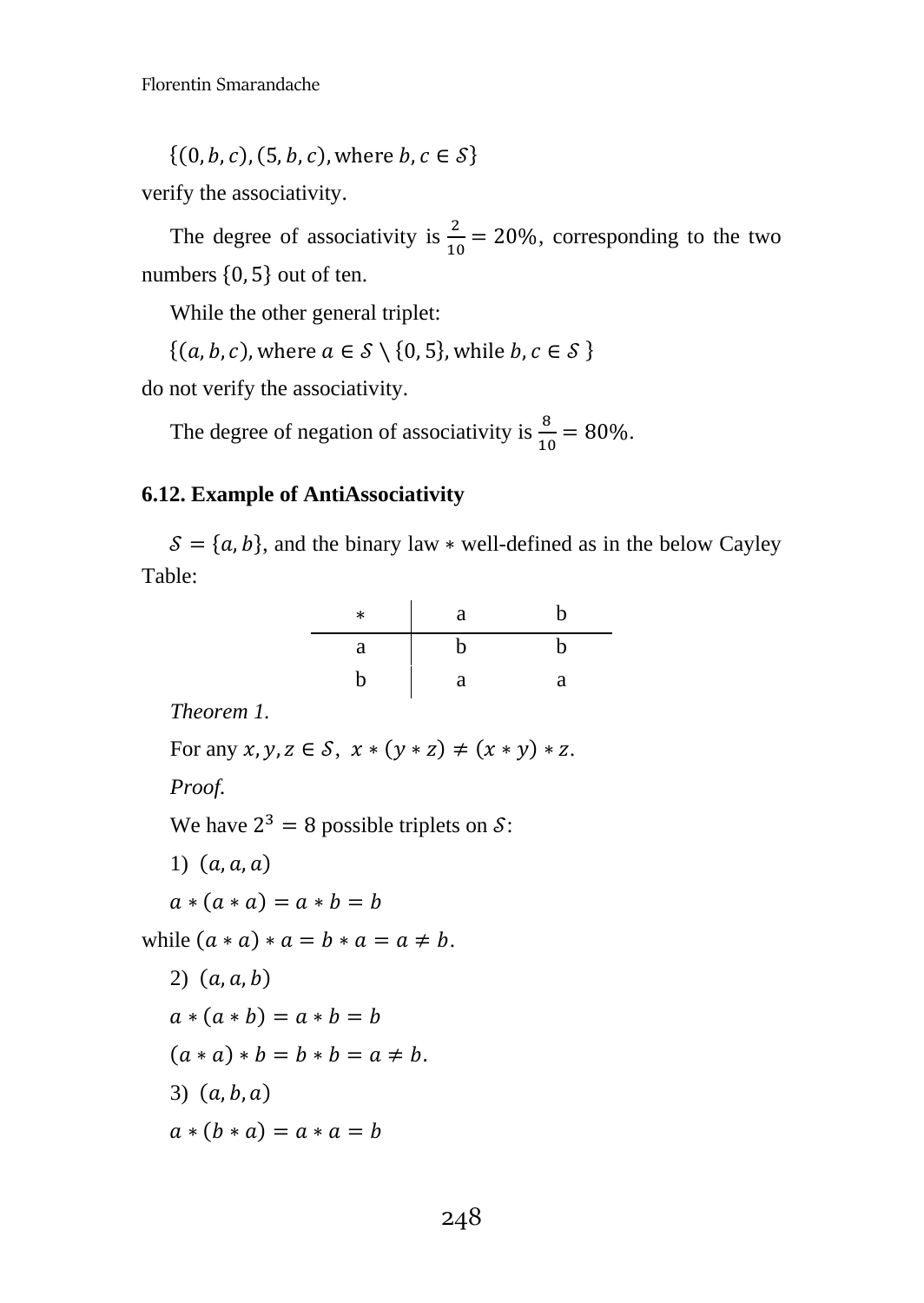$\{(0, b, c), (5, b, c), where b, c \in S\}$ 

verify the associativity.

The degree of associativity is  $\frac{2}{10} = 20\%$ , corresponding to the two numbers {0, 5} out of ten.

While the other general triplet:

 $\{(a, b, c), \text{where } a \in S \setminus \{0, 5\}, \text{while } b, c \in S \}$ 

do not verify the associativity.

The degree of negation of associativity is  $\frac{8}{10} = 80\%$ .

# **6.12. Example of AntiAssociativity**

 $\mathcal{S} = \{a, b\}$ , and the binary law \* well-defined as in the below Cayley Table:

| $\ast$ | a | b |
|--------|---|---|
| a      | b | h |
| b      | a | a |

*Theorem 1.*

For any  $x, y, z \in S$ ,  $x * (y * z) \neq (x * y) * z$ . *Proof.* We have  $2^3 = 8$  possible triplets on  $\mathcal{S}$ : 1)  $(a, a, a)$  $a * (a * a) = a * b = b$ while  $(a * a) * a = b * a = a \neq b$ .  $2)$   $(a, a, b)$  $a * (a * b) = a * b = b$  $(a * a) * b = b * b = a \neq b.$ 3)  $(a, b, a)$  $a * (b * a) = a * a = b$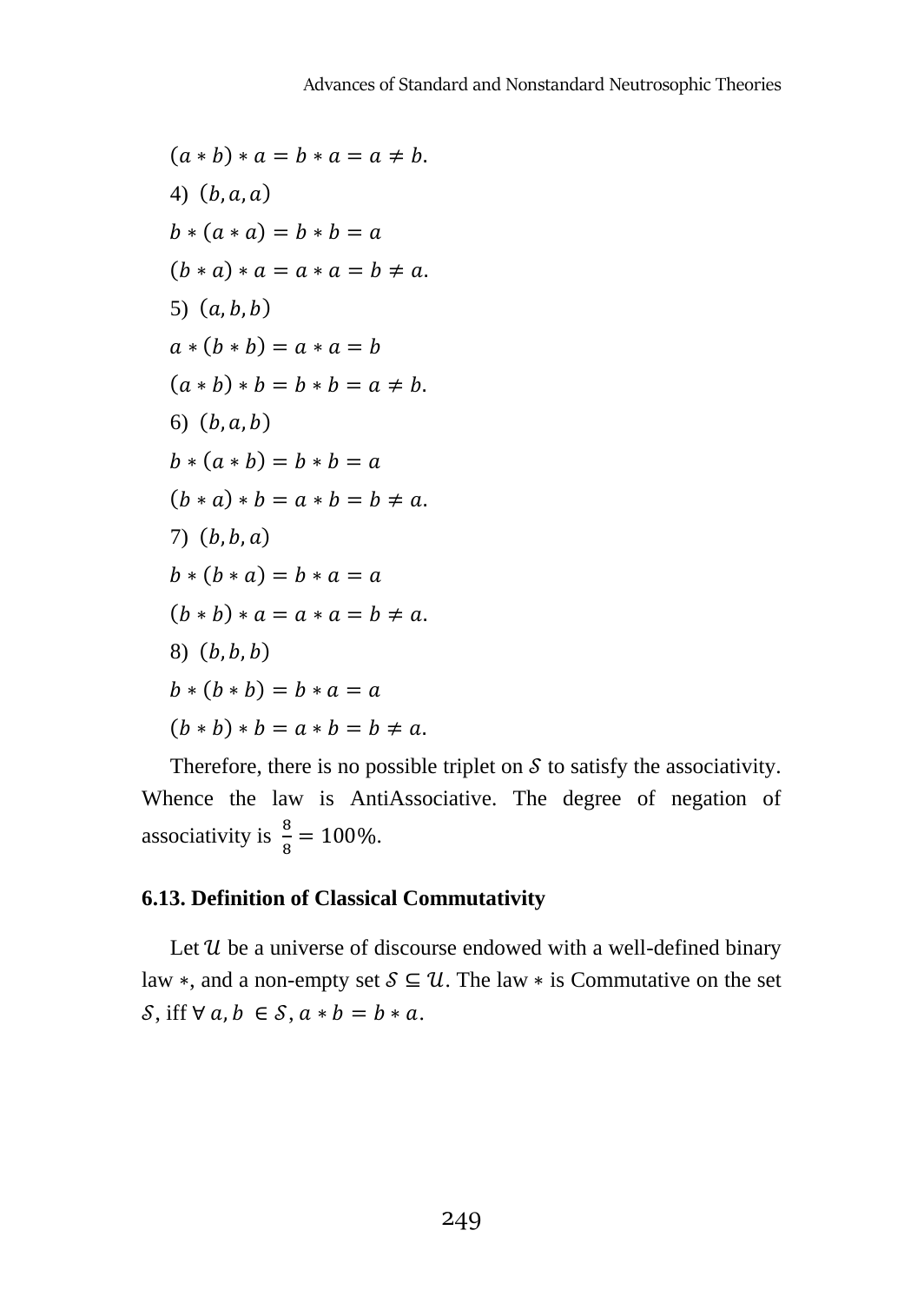$(a * b) * a = b * a = a \neq b.$ 4)  $(b, a, a)$  $b * (a * a) = b * b = a$  $(b * a) * a = a * a = b \neq a$ . 5)  $(a, b, b)$  $a * (b * b) = a * a = b$  $(a * b) * b = b * b = a \neq b.$ 6)  $(b, a, b)$  $b * (a * b) = b * b = a$  $(b * a) * b = a * b = b \neq a$ .  $7)$   $(b, b, a)$  $b * (b * a) = b * a = a$  $(b * b) * a = a * a = b \neq a$ .  $(6, b, b)$  $b * (b * b) = b * a = a$  $(b * b) * b = a * b = b \neq a$ .

Therefore, there is no possible triplet on  $S$  to satisfy the associativity. Whence the law is AntiAssociative. The degree of negation of associativity is  $\frac{8}{8} = 100\%$ .

#### **6.13. Definition of Classical Commutativity**

Let  $\mathcal U$  be a universe of discourse endowed with a well-defined binary law  $\ast$ , and a non-empty set  $S \subseteq \mathcal{U}$ . The law  $\ast$  is Commutative on the set  $\mathcal{S}$ , iff  $\forall a, b \in \mathcal{S}$ ,  $a * b = b * a$ .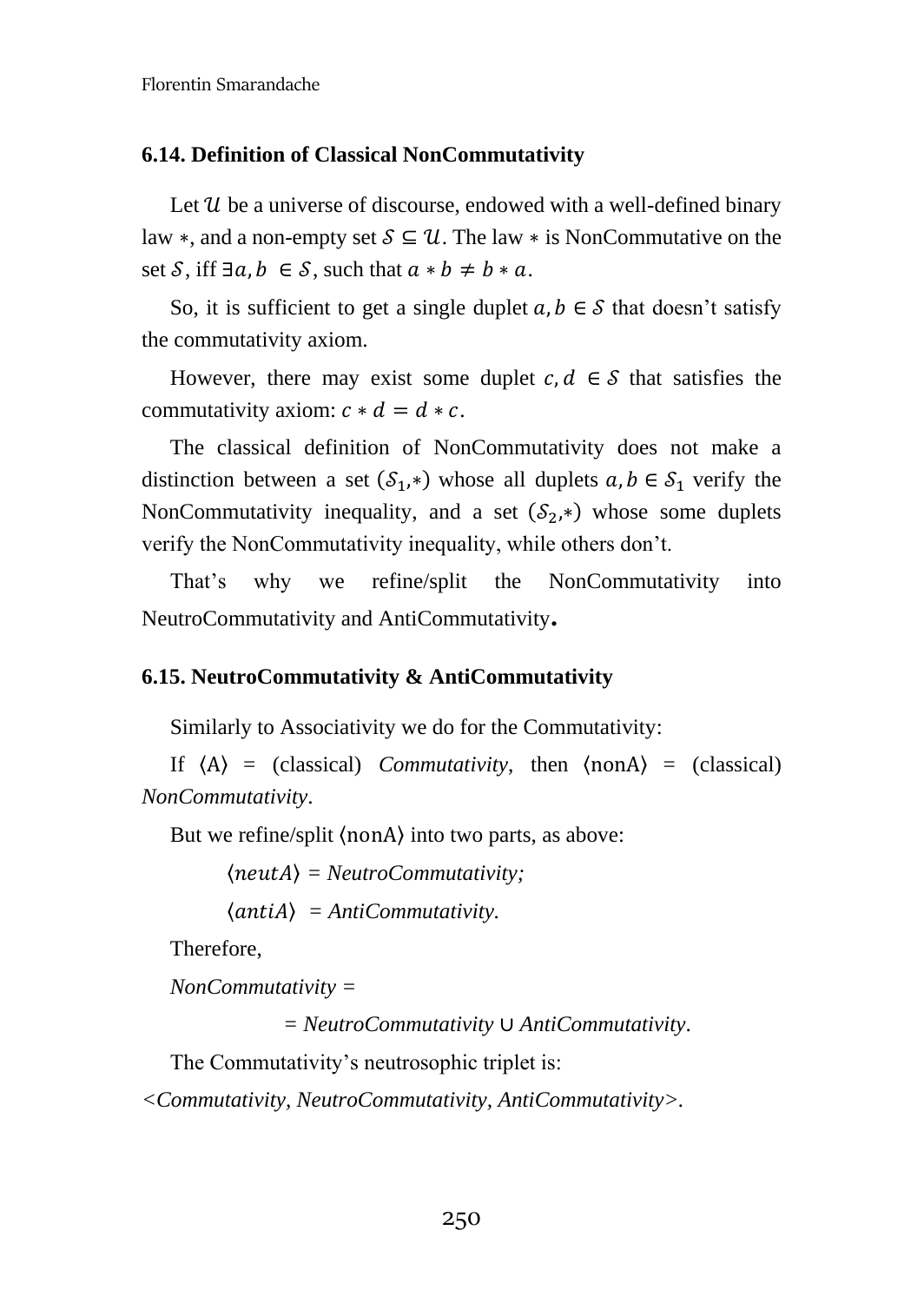## **6.14. Definition of Classical NonCommutativity**

Let  $\mathcal U$  be a universe of discourse, endowed with a well-defined binary law  $\ast$ , and a non-empty set  $S \subseteq \mathcal{U}$ . The law  $\ast$  is NonCommutative on the set S, iff  $\exists a, b \in S$ , such that  $a * b \neq b * a$ .

So, it is sufficient to get a single duplet  $a, b \in S$  that doesn't satisfy the commutativity axiom.

However, there may exist some duplet  $c, d \in S$  that satisfies the commutativity axiom:  $c * d = d * c$ .

The classical definition of NonCommutativity does not make a distinction between a set  $(S_1, *)$  whose all duplets  $a, b \in S_1$  verify the NonCommutativity inequality, and a set  $(S_2, *)$  whose some duplets verify the NonCommutativity inequality, while others don't.

That's why we refine/split the NonCommutativity into NeutroCommutativity and AntiCommutativity**.**

#### **6.15. NeutroCommutativity & AntiCommutativity**

Similarly to Associativity we do for the Commutativity:

If  $\langle A \rangle$  = (classical) *Commutativity*, then  $\langle \text{non} A \rangle$  = (classical) *NonCommutativity*.

But we refine/split 〈nonA〉 into two parts, as above:

〈〉 *= NeutroCommutativity;*

 $\langle$ *antiA* $\rangle$  = *AntiCommutativity.* 

Therefore,

*NonCommutativity =* 

*= NeutroCommutativity* ∪ *AntiCommutativity*.

The Commutativity's neutrosophic triplet is:

*<Commutativity, NeutroCommutativity, AntiCommutativity>.*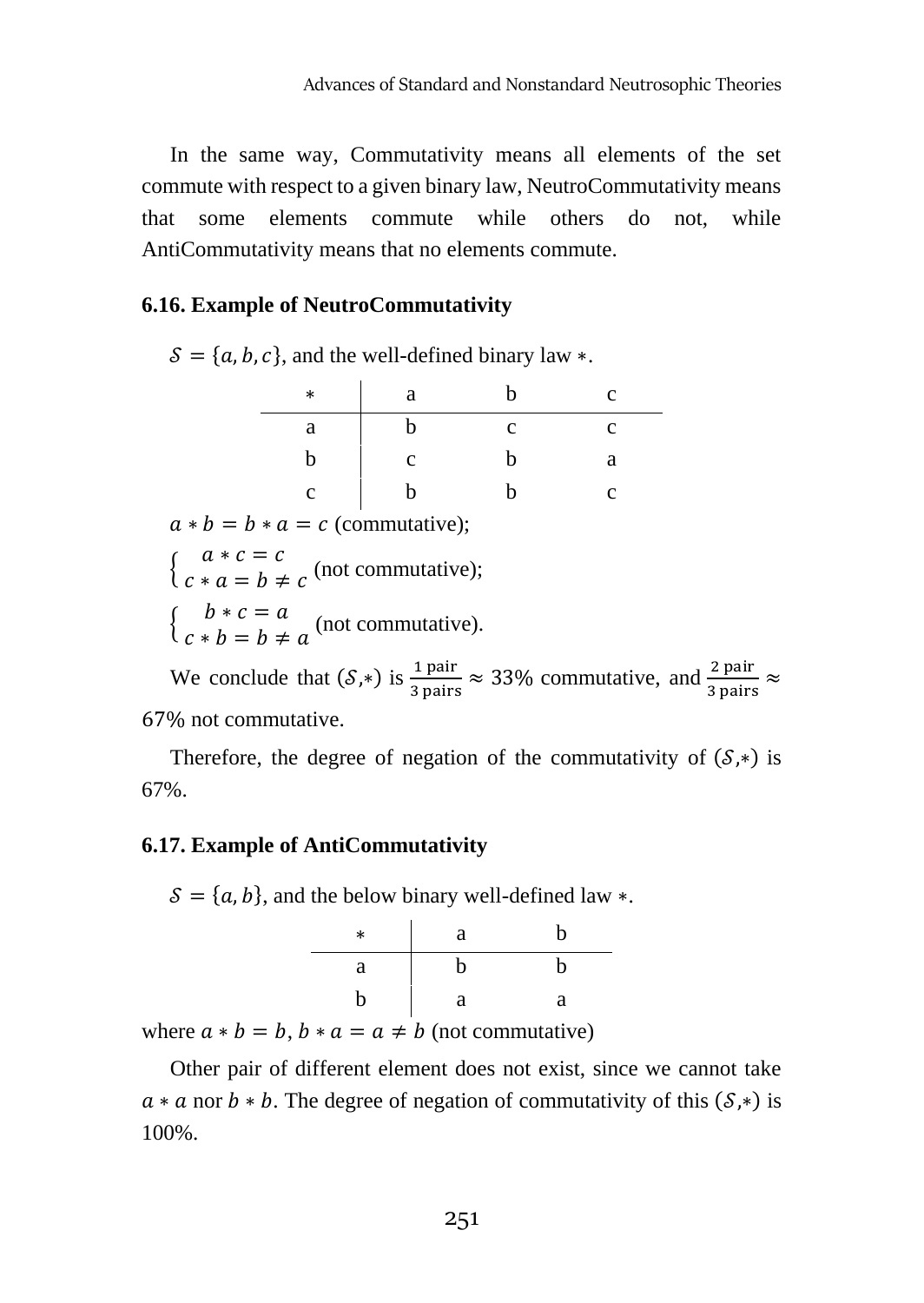In the same way, Commutativity means all elements of the set commute with respect to a given binary law, NeutroCommutativity means that some elements commute while others do not, while AntiCommutativity means that no elements commute.

## **6.16. Example of NeutroCommutativity**

 $S = \{a, b, c\}$ , and the well-defined binary law ∗.

| $\ast$ | a | n | c |
|--------|---|---|---|
| а      |   | с | с |
| n      | с | n | а |
| c      |   |   | с |

 $a * b = b * a = c$  (commutative):

 $\begin{cases}\n a * c = c \\
 c * a = b\n\end{cases}$  $c * a = b \neq c$  (not commutative);

 $\begin{cases}\nb*c = a \\
c + b - b + c\n\end{cases}$  $c * b = b \neq a$  (not commutative).

We conclude that  $(S,*)$  is  $\frac{1 \text{ pair}}{3 \text{ pairs}} \approx 33\%$  commutative, and  $\frac{2 \text{ pair}}{3 \text{ pairs}} \approx$ 67% not commutative.

Therefore, the degree of negation of the commutativity of  $(\mathcal{S}, *)$  is 67%.

#### **6.17. Example of AntiCommutativity**

 $S = \{a, b\}$ , and the below binary well-defined law  $*$ .

| $\ast$ | a | b |
|--------|---|---|
| a      | n | n |
| b      | a | a |

where  $a * b = b$ ,  $b * a = a \neq b$  (not commutative)

Other pair of different element does not exist, since we cannot take  $a * a$  nor  $b * b$ . The degree of negation of commutativity of this  $(S, *)$  is 100%.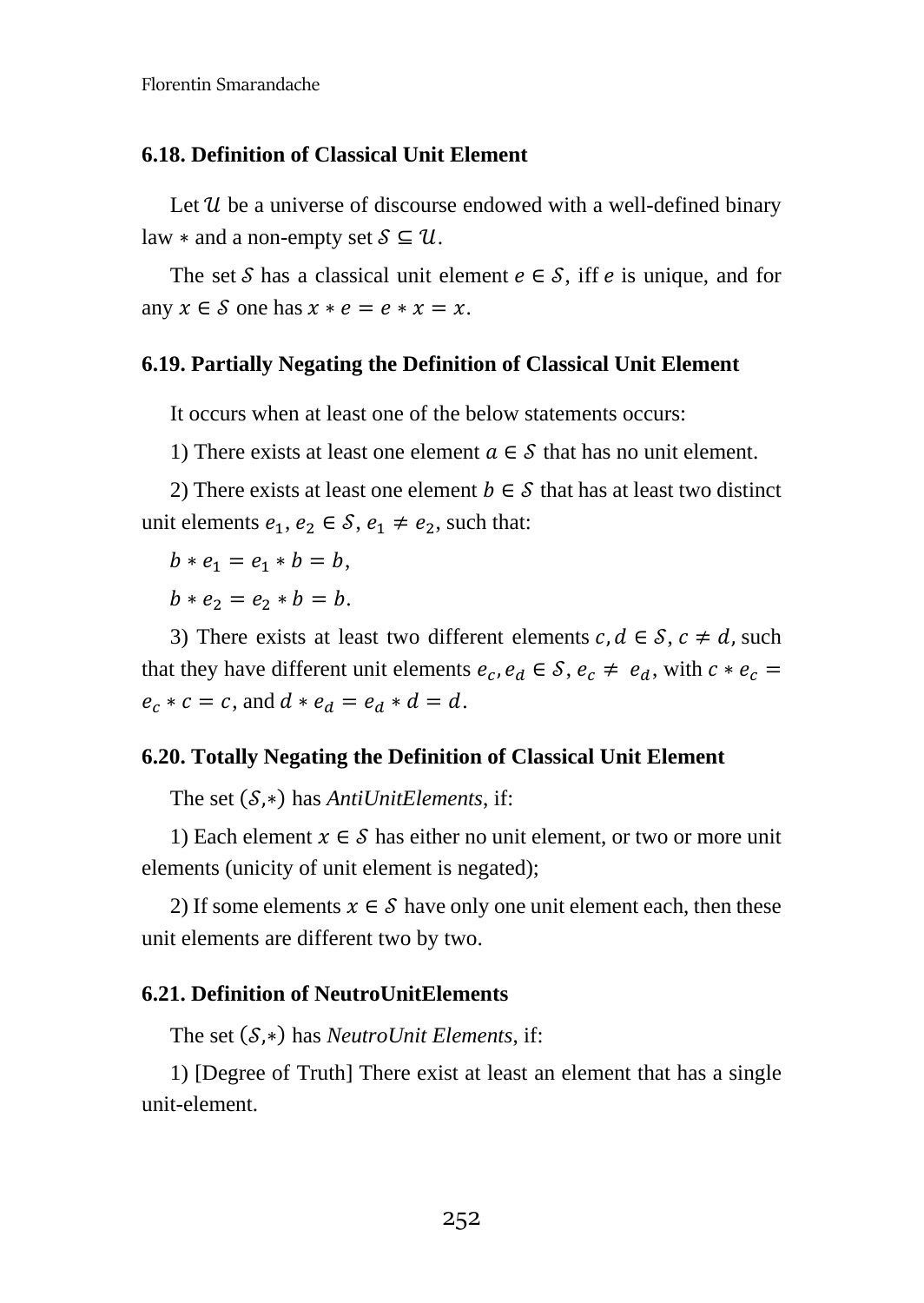#### **6.18. Definition of Classical Unit Element**

Let  $\mathcal U$  be a universe of discourse endowed with a well-defined binary law  $*$  and a non-empty set  $S \subseteq U$ .

The set S has a classical unit element  $e \in S$ , iff  $e$  is unique, and for any  $x \in S$  one has  $x * e = e * x = x$ .

#### **6.19. Partially Negating the Definition of Classical Unit Element**

It occurs when at least one of the below statements occurs:

1) There exists at least one element  $a \in S$  that has no unit element.

2) There exists at least one element  $b \in S$  that has at least two distinct unit elements  $e_1, e_2 \in S$ ,  $e_1 \neq e_2$ , such that:

 $b * e_1 = e_1 * b = b,$ 

 $b * e_2 = e_2 * b = b.$ 

3) There exists at least two different elements  $c, d \in S$ ,  $c \neq d$ , such that they have different unit elements  $e_c$ ,  $e_d \in S$ ,  $e_c \neq e_d$ , with  $c * e_c =$  $e_c * c = c$ , and  $d * e_d = e_d * d = d$ .

#### **6.20. Totally Negating the Definition of Classical Unit Element**

The set (*S*,∗) has *AntiUnitElements*, if:

1) Each element  $x \in S$  has either no unit element, or two or more unit elements (unicity of unit element is negated);

2) If some elements  $x \in S$  have only one unit element each, then these unit elements are different two by two.

#### **6.21. Definition of NeutroUnitElements**

The set (S,<sup>∗)</sup> has *NeutroUnit Elements*, if:

1) [Degree of Truth] There exist at least an element that has a single unit-element.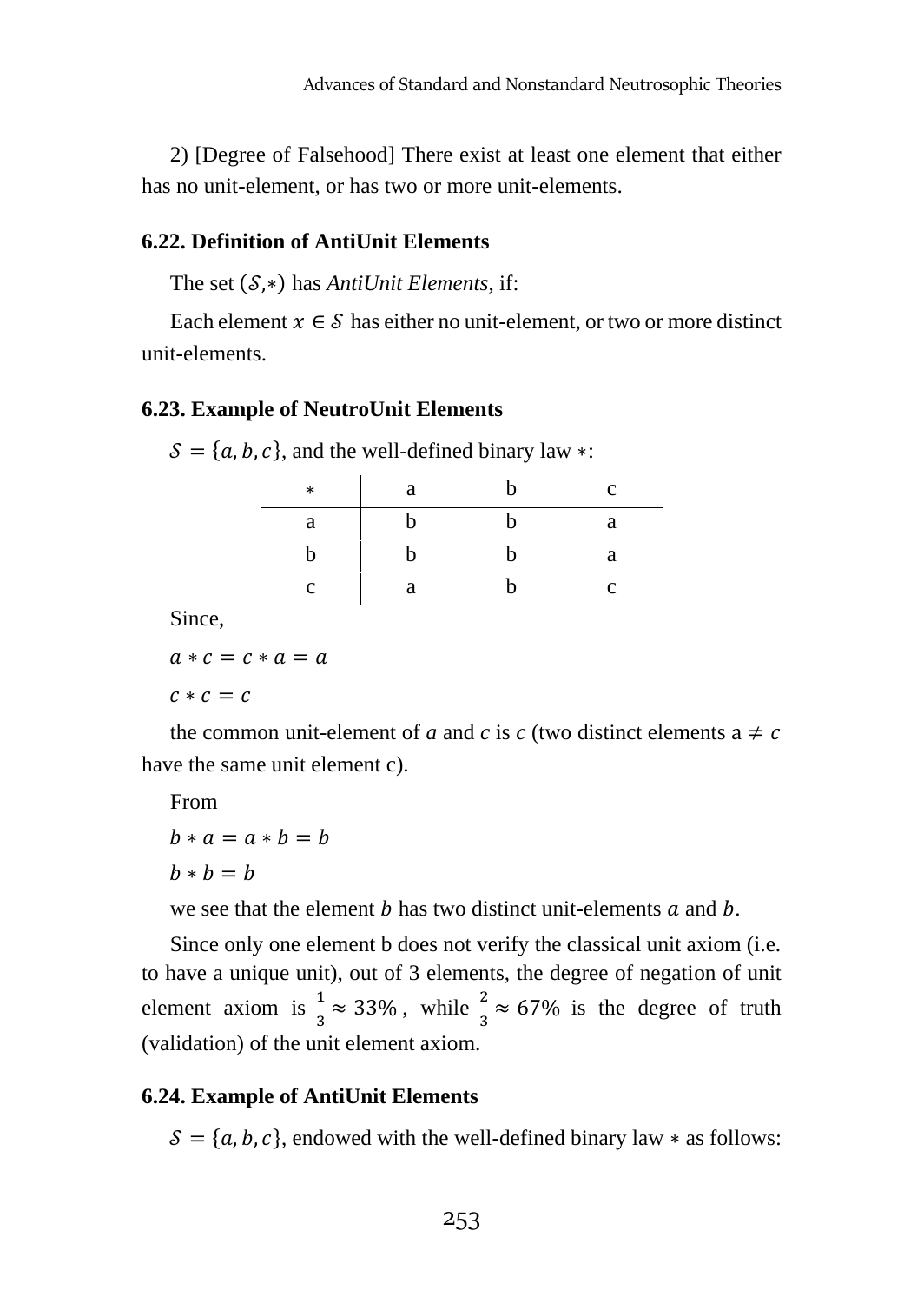2) [Degree of Falsehood] There exist at least one element that either has no unit-element, or has two or more unit-elements.

#### **6.22. Definition of AntiUnit Elements**

The set (*S*,∗) has *AntiUnit Elements*, if:

Each element  $x \in S$  has either no unit-element, or two or more distinct unit-elements.

#### **6.23. Example of NeutroUnit Elements**

 $\mathcal{S} = \{a, b, c\}$ , and the well-defined binary law ∗:

| $\ast$ | a | h | c |
|--------|---|---|---|
| a      | n | h | а |
| h      | b | h | а |
| C      | a | h | C |

Since,

 $q * c = c * q = q$ 

 $c * c = c$ 

the common unit-element of *a* and *c* is *c* (two distinct elements  $a \neq c$ have the same unit element c).

From

```
b * a = a * b = bh * h = h
```
we see that the element  $h$  has two distinct unit-elements  $a$  and  $b$ .

Since only one element b does not verify the classical unit axiom (i.e. to have a unique unit), out of 3 elements, the degree of negation of unit element axiom is  $\frac{1}{3} \approx 33\%$ , while  $\frac{2}{3} \approx 67\%$  is the degree of truth (validation) of the unit element axiom.

#### **6.24. Example of AntiUnit Elements**

 $S = \{a, b, c\}$ , endowed with the well-defined binary law \* as follows: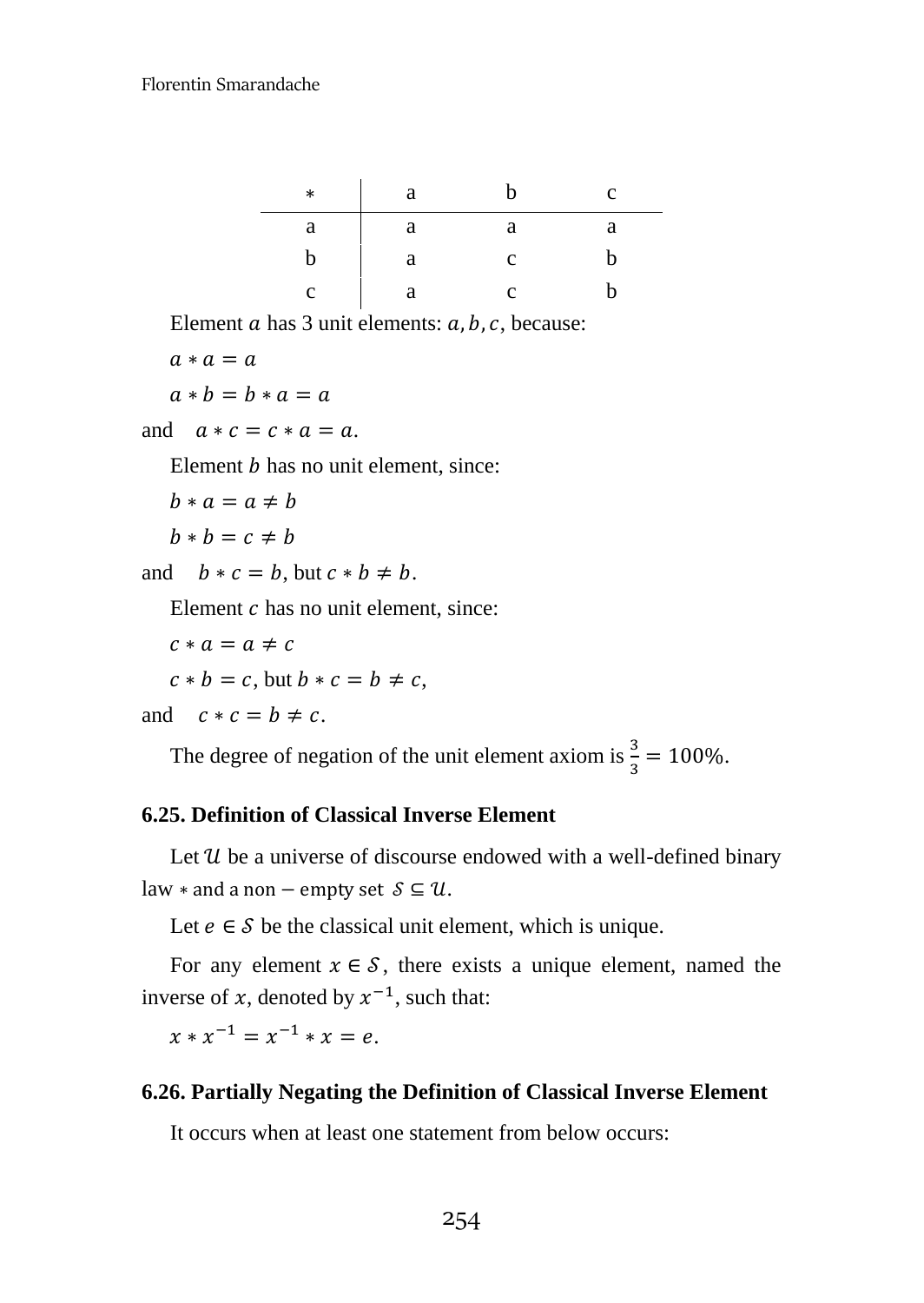| $\ast$ | a |   | C |
|--------|---|---|---|
| a      | а | а | а |
| h      | а | с | h |
|        | я |   |   |

Element  $\alpha$  has 3 unit elements:  $\alpha$ ,  $\beta$ ,  $\alpha$ , because:

 $a * a = a$  $a * b = b * a = a$ 

and  $a * c = c * a = a$ .

Element  *has no unit element, since:* 

```
b * a = a \neq b
```

```
b * b = c \neq b
```
and  $b * c = b$ , but  $c * b \neq b$ .

Element  $c$  has no unit element, since:

$$
c * a = a \neq c
$$

$$
c * b = c
$$
, but  $b * c = b \neq c$ ,

and 
$$
c * c = b \neq c
$$
.

The degree of negation of the unit element axiom is  $\frac{3}{3} = 100\%$ .

# **6.25. Definition of Classical Inverse Element**

Let  $u$  be a universe of discourse endowed with a well-defined binary law  $*$  and a non – empty set  $S \subseteq U$ .

Let  $e \in S$  be the classical unit element, which is unique.

For any element  $x \in S$ , there exists a unique element, named the inverse of x, denoted by  $x^{-1}$ , such that:

 $x * x^{-1} = x^{-1} * x = e.$ 

# **6.26. Partially Negating the Definition of Classical Inverse Element**

It occurs when at least one statement from below occurs: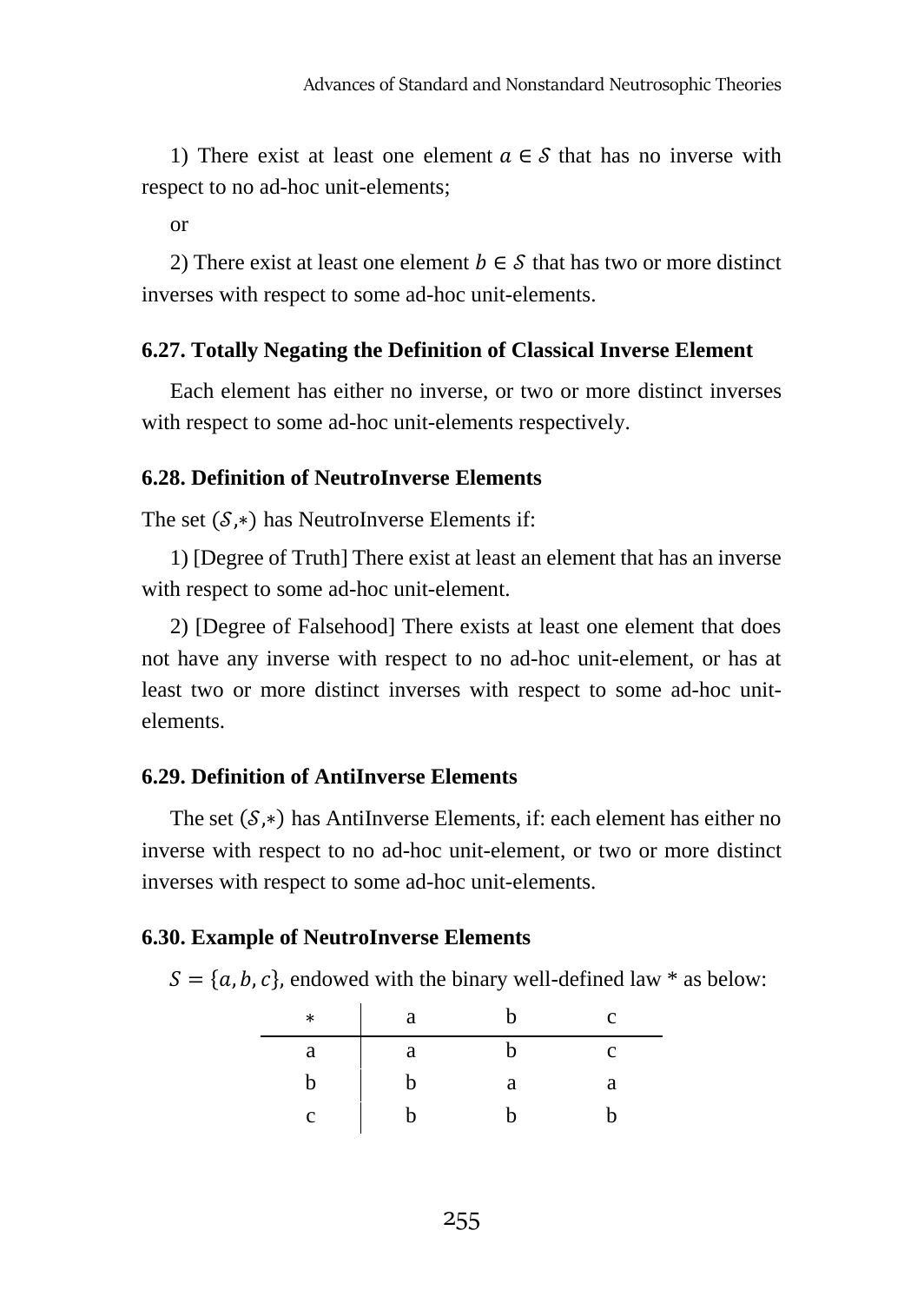1) There exist at least one element  $a \in S$  that has no inverse with respect to no ad-hoc unit-elements;

or

2) There exist at least one element  $b \in S$  that has two or more distinct inverses with respect to some ad-hoc unit-elements.

# **6.27. Totally Negating the Definition of Classical Inverse Element**

Each element has either no inverse, or two or more distinct inverses with respect to some ad-hoc unit-elements respectively.

# **6.28. Definition of NeutroInverse Elements**

The set  $(S,*)$  has NeutroInverse Elements if:

1) [Degree of Truth] There exist at least an element that has an inverse with respect to some ad-hoc unit-element.

2) [Degree of Falsehood] There exists at least one element that does not have any inverse with respect to no ad-hoc unit-element, or has at least two or more distinct inverses with respect to some ad-hoc unitelements.

# **6.29. Definition of AntiInverse Elements**

The set  $(S,*)$  has AntiInverse Elements, if: each element has either no inverse with respect to no ad-hoc unit-element, or two or more distinct inverses with respect to some ad-hoc unit-elements.

#### **6.30. Example of NeutroInverse Elements**

 $S = \{a, b, c\}$ , endowed with the binary well-defined law \* as below:

| $\ast$ | a | n | c |
|--------|---|---|---|
| a      | a | n | с |
| b      | b | а | а |
| C      | h | n |   |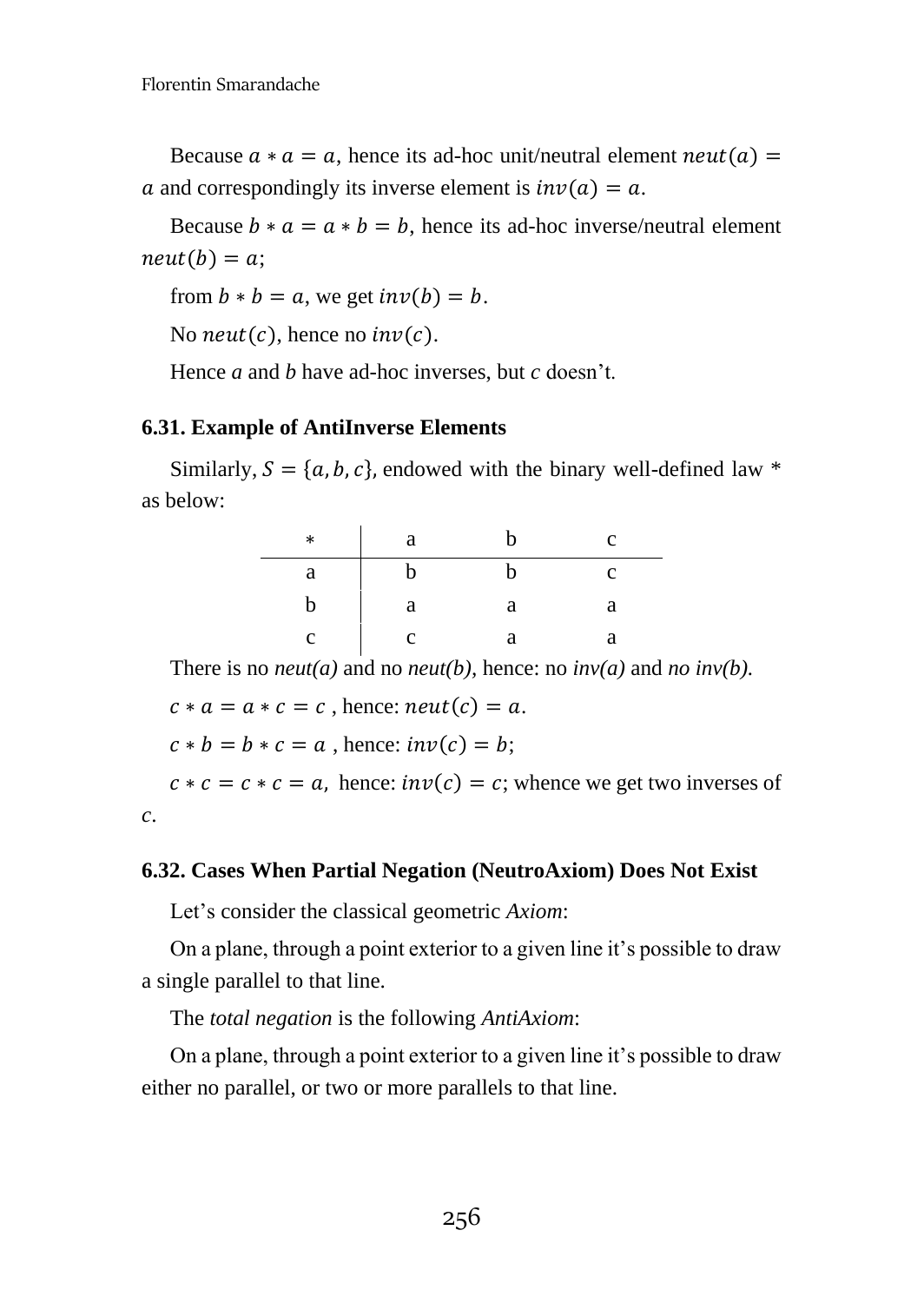Because  $a * a = a$ , hence its ad-hoc unit/neutral element  $neut(a) =$ a and correspondingly its inverse element is  $inv(a) = a$ .

Because  $b * a = a * b = b$ , hence its ad-hoc inverse/neutral element  $neut(b) = a;$ 

from  $b * b = a$ , we get  $inv(b) = b$ .

No neut(c), hence no  $inv(c)$ .

Hence *a* and *b* have ad-hoc inverses, but *c* doesn't.

#### **6.31. Example of AntiInverse Elements**

Similarly,  $S = \{a, b, c\}$ , endowed with the binary well-defined law \* as below:

| $\ast$ | a |   | c |
|--------|---|---|---|
| a      | n |   |   |
|        | а | а | а |
|        | C |   |   |

There is no *neut(a)* and no *neut(b)*, hence: no *inv(a)* and *no inv(b)*.

 $c * a = a * c = c$ , hence:  $neut(c) = a$ .

 $c * b = b * c = a$ , hence:  $inv(c) = b$ ;

 $c * c = c * c = a$ , hence:  $inv(c) = c$ ; whence we get two inverses of *c*.

#### **6.32. Cases When Partial Negation (NeutroAxiom) Does Not Exist**

Let's consider the classical geometric *Axiom*:

On a plane, through a point exterior to a given line it's possible to draw a single parallel to that line.

The *total negation* is the following *AntiAxiom*:

On a plane, through a point exterior to a given line it's possible to draw either no parallel, or two or more parallels to that line.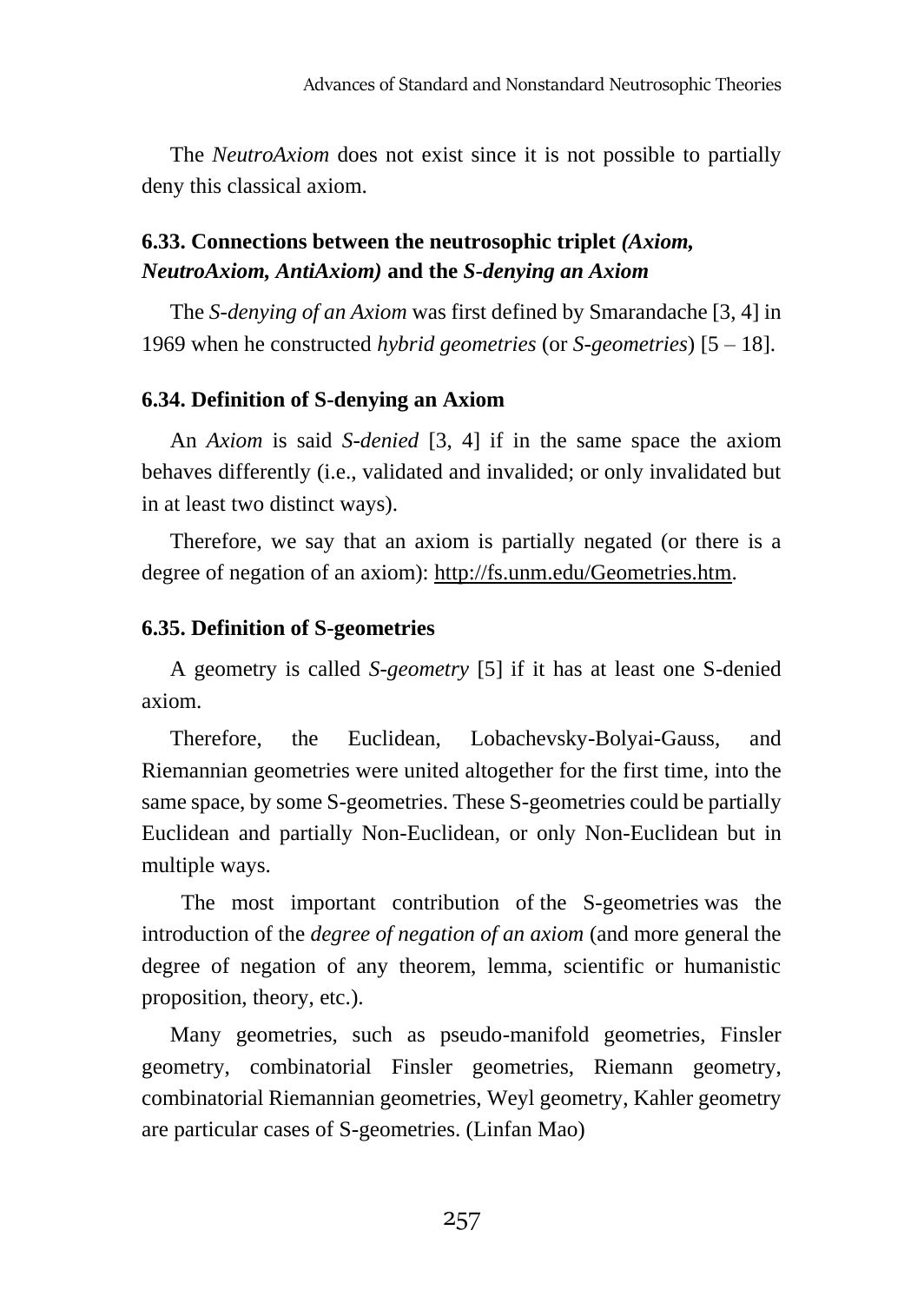The *NeutroAxiom* does not exist since it is not possible to partially deny this classical axiom.

# **6.33. Connections between the neutrosophic triplet** *(Axiom, NeutroAxiom, AntiAxiom)* **and the** *S-denying an Axiom*

The *S-denying of an Axiom* was first defined by Smarandache [3, 4] in 1969 when he constructed *hybrid geometries* (or *S-geometries*) [5 – 18].

# **6.34. Definition of S-denying an Axiom**

An *Axiom* is said *S-denied* [3, 4] if in the same space the axiom behaves differently (i.e., validated and invalided; or only invalidated but in at least two distinct ways).

Therefore, we say that an axiom is partially negated (or there is a degree of negation of an axiom): [http://fs.unm.edu/Geometries.htm.](http://fs.unm.edu/Geometries.htm)

# **6.35. Definition of S-geometries**

A geometry is called *S-geometry* [5] if it has at least one S-denied axiom.

Therefore, the Euclidean, Lobachevsky-Bolyai-Gauss, and Riemannian geometries were united altogether for the first time, into the same space, by some S-geometries. These S-geometries could be partially Euclidean and partially Non-Euclidean, or only Non-Euclidean but in multiple ways.

The most important contribution of the S-geometries was the introduction of the *degree of negation of an axiom* (and more general the degree of negation of any theorem, lemma, scientific or humanistic proposition, theory, etc.).

Many geometries, such as pseudo-manifold geometries, Finsler geometry, combinatorial Finsler geometries, Riemann geometry, combinatorial Riemannian geometries, Weyl geometry, Kahler geometry are particular cases of S-geometries. (Linfan Mao)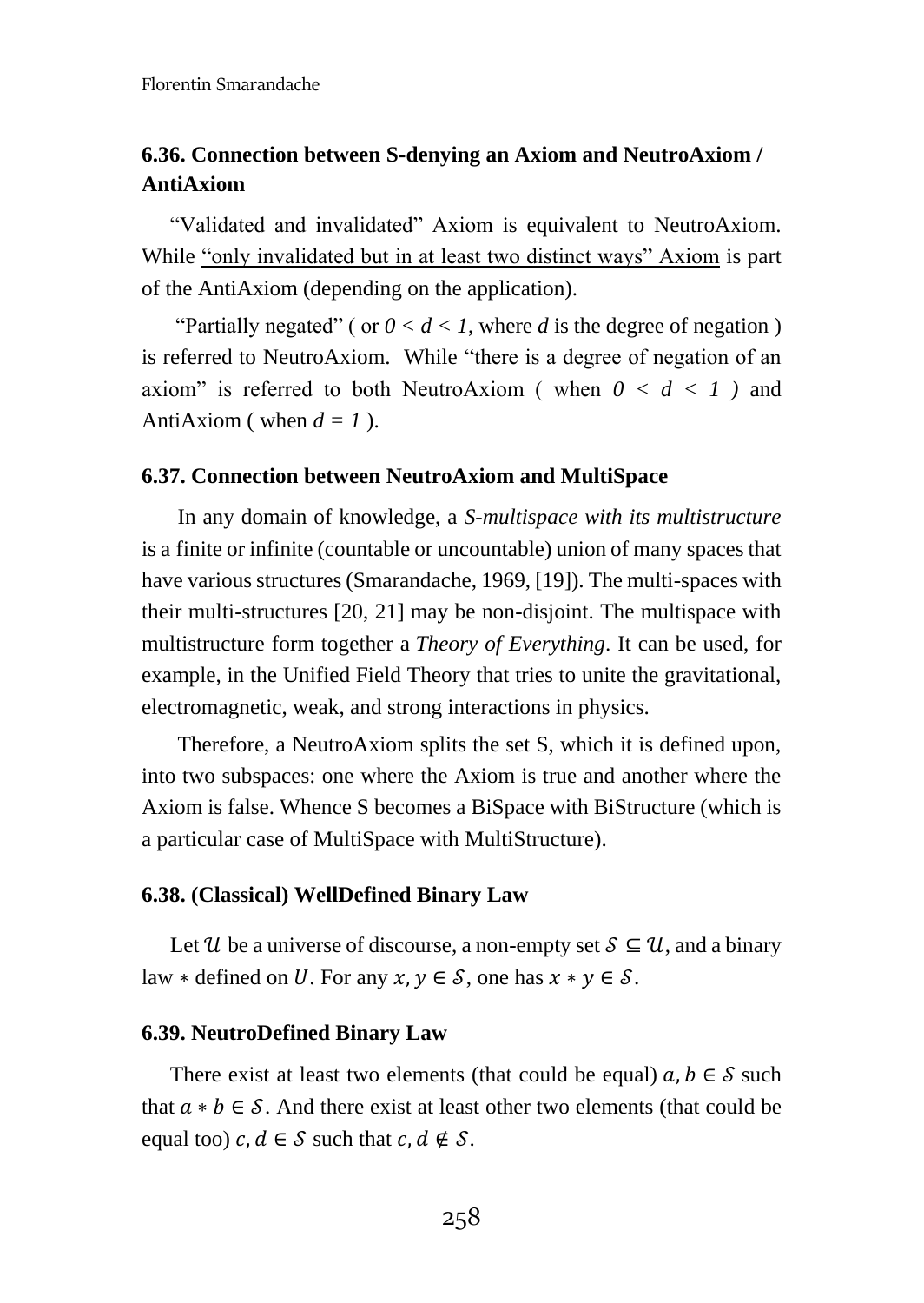# **6.36. Connection between S-denying an Axiom and NeutroAxiom / AntiAxiom**

"Validated and invalidated" Axiom is equivalent to NeutroAxiom. While "only invalidated but in at least two distinct ways" Axiom is part of the AntiAxiom (depending on the application).

"Partially negated" ( or  $0 < d < 1$ , where d is the degree of negation ) is referred to NeutroAxiom. While "there is a degree of negation of an axiom" is referred to both NeutroAxiom (when  $0 < d < 1$ ) and AntiAxiom ( when  $d = 1$  ).

#### **6.37. Connection between NeutroAxiom and MultiSpace**

In any domain of knowledge, a *S-multispace with its multistructure* is a finite or infinite (countable or uncountable) union of many spaces that have various structures (Smarandache, 1969, [19]). The multi-spaces with their multi-structures [20, 21] may be non-disjoint. The multispace with multistructure form together a *Theory of Everything*. It can be used, for example, in the Unified Field Theory that tries to unite the gravitational, electromagnetic, weak, and strong interactions in physics.

Therefore, a NeutroAxiom splits the set S, which it is defined upon, into two subspaces: one where the Axiom is true and another where the Axiom is false. Whence S becomes a BiSpace with BiStructure (which is a particular case of MultiSpace with MultiStructure).

#### **6.38. (Classical) WellDefined Binary Law**

Let U be a universe of discourse, a non-empty set  $S \subseteq \mathcal{U}$ , and a binary law  $*$  defined on U. For any  $x, y \in S$ , one has  $x * y \in S$ .

#### **6.39. NeutroDefined Binary Law**

There exist at least two elements (that could be equal)  $a, b \in S$  such that  $a * b \in S$ . And there exist at least other two elements (that could be equal too)  $c, d \in S$  such that  $c, d \notin S$ .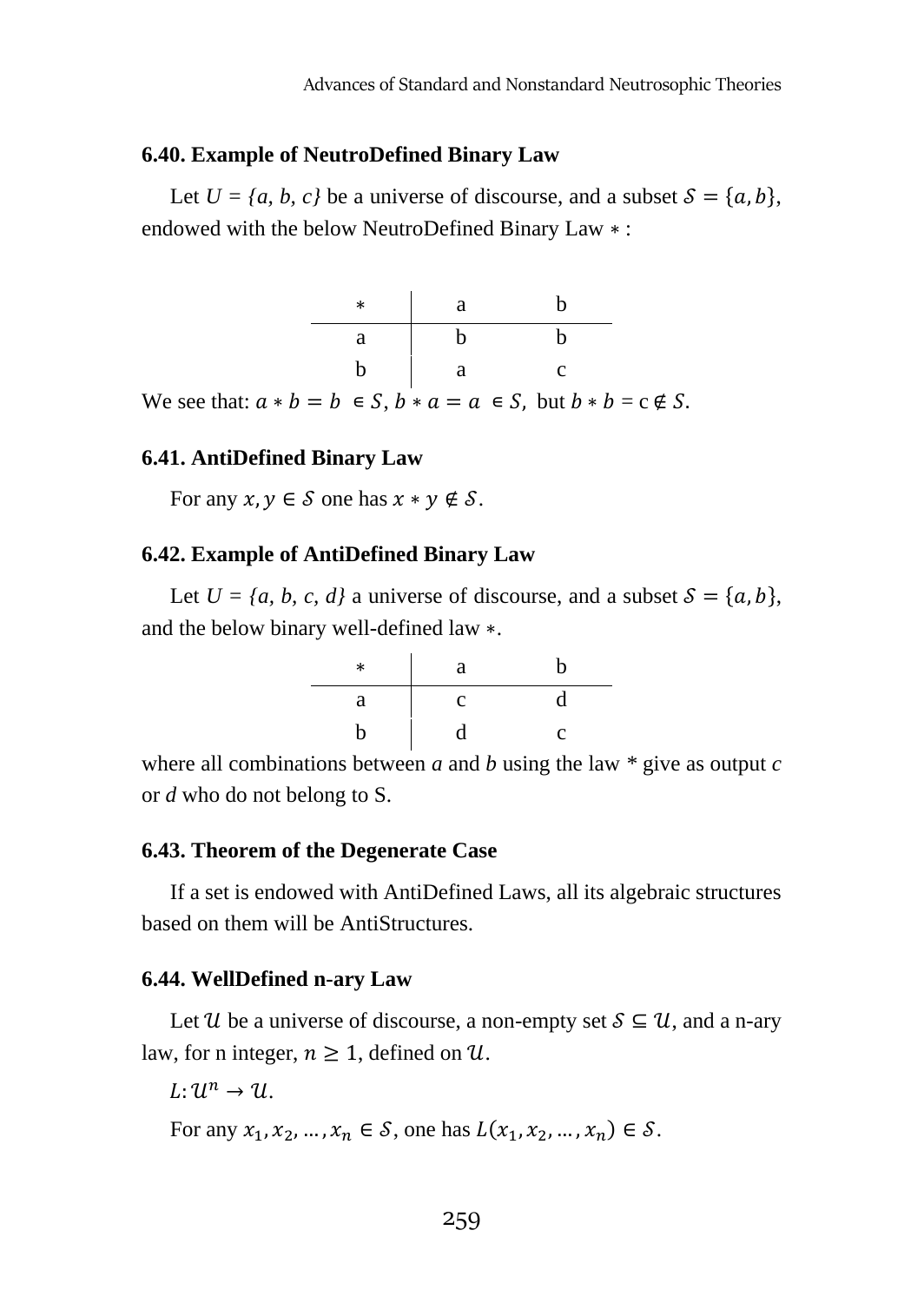#### **6.40. Example of NeutroDefined Binary Law**

Let  $U = \{a, b, c\}$  be a universe of discourse, and a subset  $S = \{a, b\}$ , endowed with the below NeutroDefined Binary Law ∗ :



# **6.41. AntiDefined Binary Law**

For any  $x, y \in S$  one has  $x * y \notin S$ .

#### **6.42. Example of AntiDefined Binary Law**

Let  $U = \{a, b, c, d\}$  a universe of discourse, and a subset  $S = \{a, b\}$ , and the below binary well-defined law ∗.

| * | a            | h |
|---|--------------|---|
| a | $\mathbf{C}$ |   |
| n | d            | c |

where all combinations between *a* and *b* using the law  $*$  give as output *c* or *d* who do not belong to S.

#### **6.43. Theorem of the Degenerate Case**

If a set is endowed with AntiDefined Laws, all its algebraic structures based on them will be AntiStructures.

#### **6.44. WellDefined n-ary Law**

Let U be a universe of discourse, a non-empty set  $S \subseteq U$ , and a n-ary law, for n integer,  $n \geq 1$ , defined on U.

 $L: 1\ell^n \rightarrow 1\ell$ 

For any  $x_1, x_2, ..., x_n \in S$ , one has  $L(x_1, x_2, ..., x_n) \in S$ .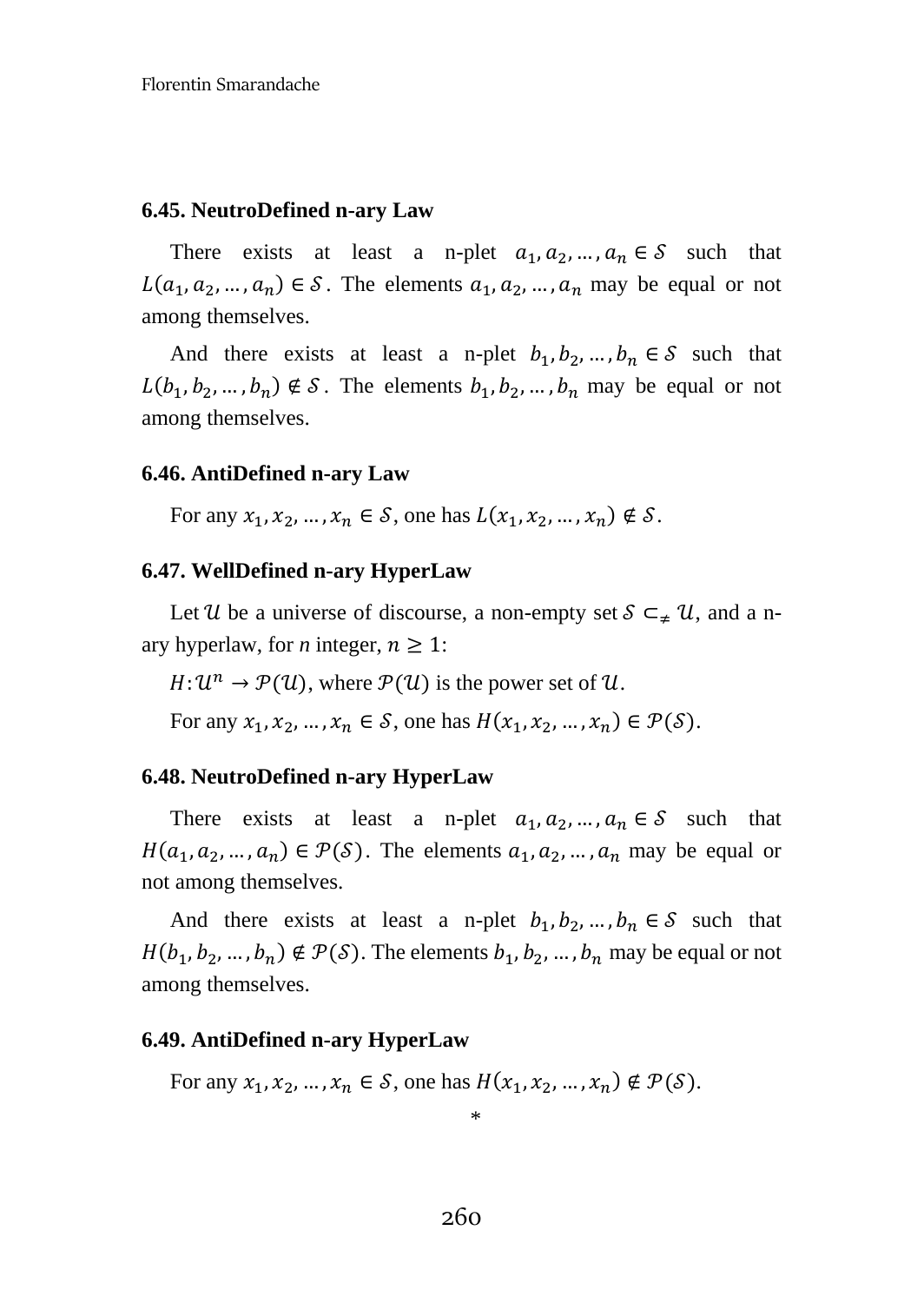#### **6.45. NeutroDefined n-ary Law**

There exists at least a n-plet  $a_1, a_2, ..., a_n \in S$  such that  $L(a_1, a_2, ..., a_n) \in S$ . The elements  $a_1, a_2, ..., a_n$  may be equal or not among themselves.

And there exists at least a n-plet  $b_1, b_2, ..., b_n \in S$  such that  $L(b_1, b_2, ..., b_n) \notin S$ . The elements  $b_1, b_2, ..., b_n$  may be equal or not among themselves.

#### **6.46. AntiDefined n-ary Law**

For any  $x_1, x_2, ..., x_n \in S$ , one has  $L(x_1, x_2, ..., x_n) \notin S$ .

#### **6.47. WellDefined n-ary HyperLaw**

Let U be a universe of discourse, a non-empty set  $S \subseteq_{\neq} \mathcal{U}$ , and a nary hyperlaw, for *n* integer,  $n \geq 1$ :

 $H: \mathcal{U}^n \to \mathcal{P}(\mathcal{U})$ , where  $\mathcal{P}(\mathcal{U})$  is the power set of  $\mathcal{U}$ .

For any  $x_1, x_2, ..., x_n \in S$ , one has  $H(x_1, x_2, ..., x_n) \in \mathcal{P}(\mathcal{S})$ .

#### **6.48. NeutroDefined n-ary HyperLaw**

There exists at least a n-plet  $a_1, a_2, ..., a_n \in S$  such that  $H(a_1, a_2, ..., a_n) \in \mathcal{P}(\mathcal{S})$ . The elements  $a_1, a_2, ..., a_n$  may be equal or not among themselves.

And there exists at least a n-plet  $b_1, b_2, ..., b_n \in S$  such that  $H(b_1, b_2, ..., b_n) \notin \mathcal{P}(\mathcal{S})$ . The elements  $b_1, b_2, ..., b_n$  may be equal or not among themselves.

#### **6.49. AntiDefined n-ary HyperLaw**

For any  $x_1, x_2, ..., x_n \in S$ , one has  $H(x_1, x_2, ..., x_n) \notin \mathcal{P}(S)$ .

\*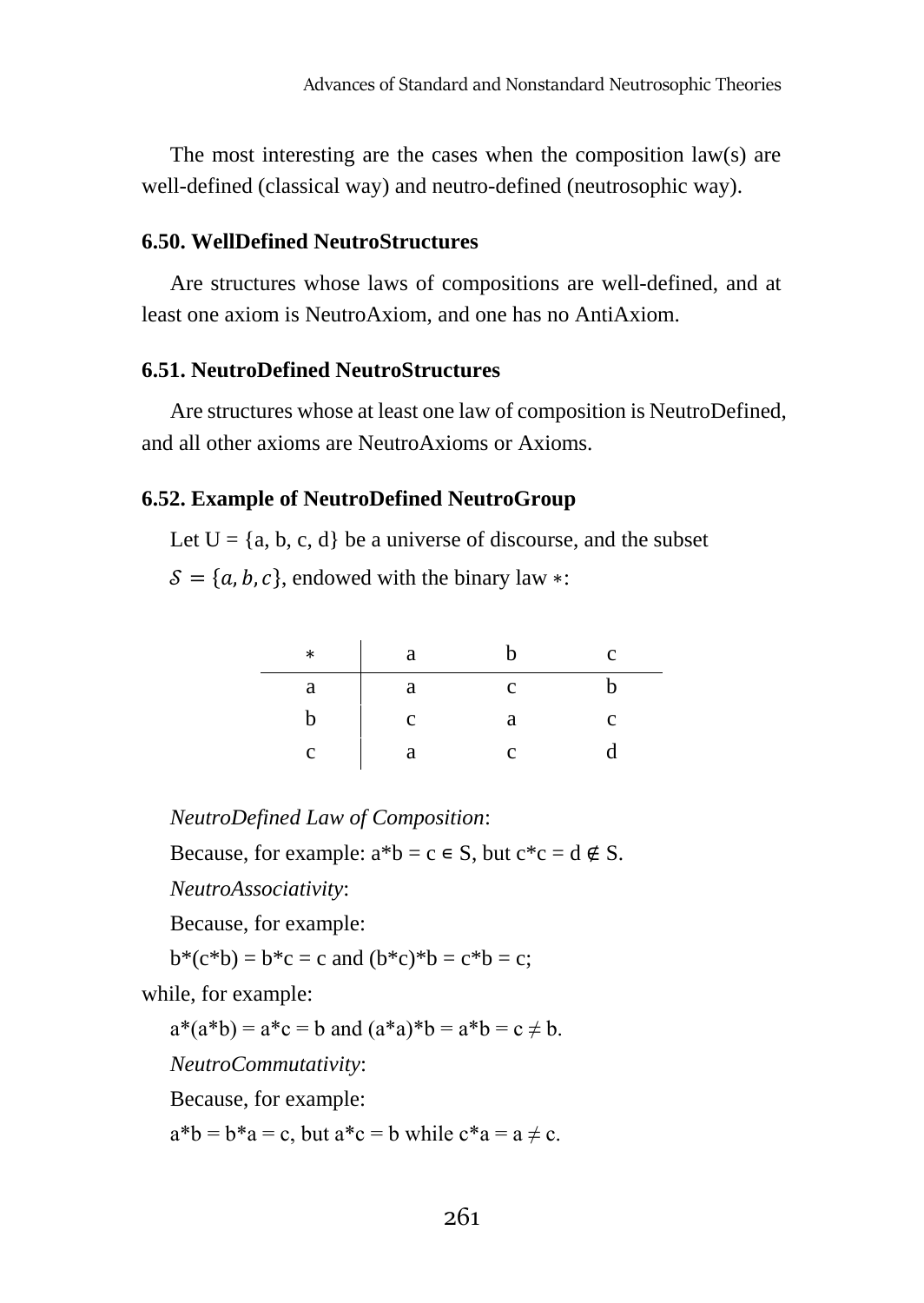The most interesting are the cases when the composition law(s) are well-defined (classical way) and neutro-defined (neutrosophic way).

#### **6.50. WellDefined NeutroStructures**

Are structures whose laws of compositions are well-defined, and at least one axiom is NeutroAxiom, and one has no AntiAxiom.

#### **6.51. NeutroDefined NeutroStructures**

Are structures whose at least one law of composition is NeutroDefined, and all other axioms are NeutroAxioms or Axioms.

#### **6.52. Example of NeutroDefined NeutroGroup**

Let  $U = \{a, b, c, d\}$  be a universe of discourse, and the subset

 $\mathcal{S} = \{a, b, c\}$ , endowed with the binary law ∗:

| $\ast$ | а |   | c |
|--------|---|---|---|
| а      | а | с |   |
|        | с | а | с |
|        | a | c |   |

*NeutroDefined Law of Composition*:

Because, for example:  $a^*b = c \in S$ , but  $c^*c = d \notin S$ .

*NeutroAssociativity*:

Because, for example:

$$
b^*(c^*b) = b^*c = c
$$
 and  $(b^*c)^*b = c^*b = c$ ;

while, for example:

 $a^*(a^*b) = a^*c = b$  and  $(a^*a)^*b = a^*b = c \neq b$ .

*NeutroCommutativity*:

Because, for example:

 $a^*b = b^*a = c$ , but  $a^*c = b$  while  $c^*a = a \neq c$ .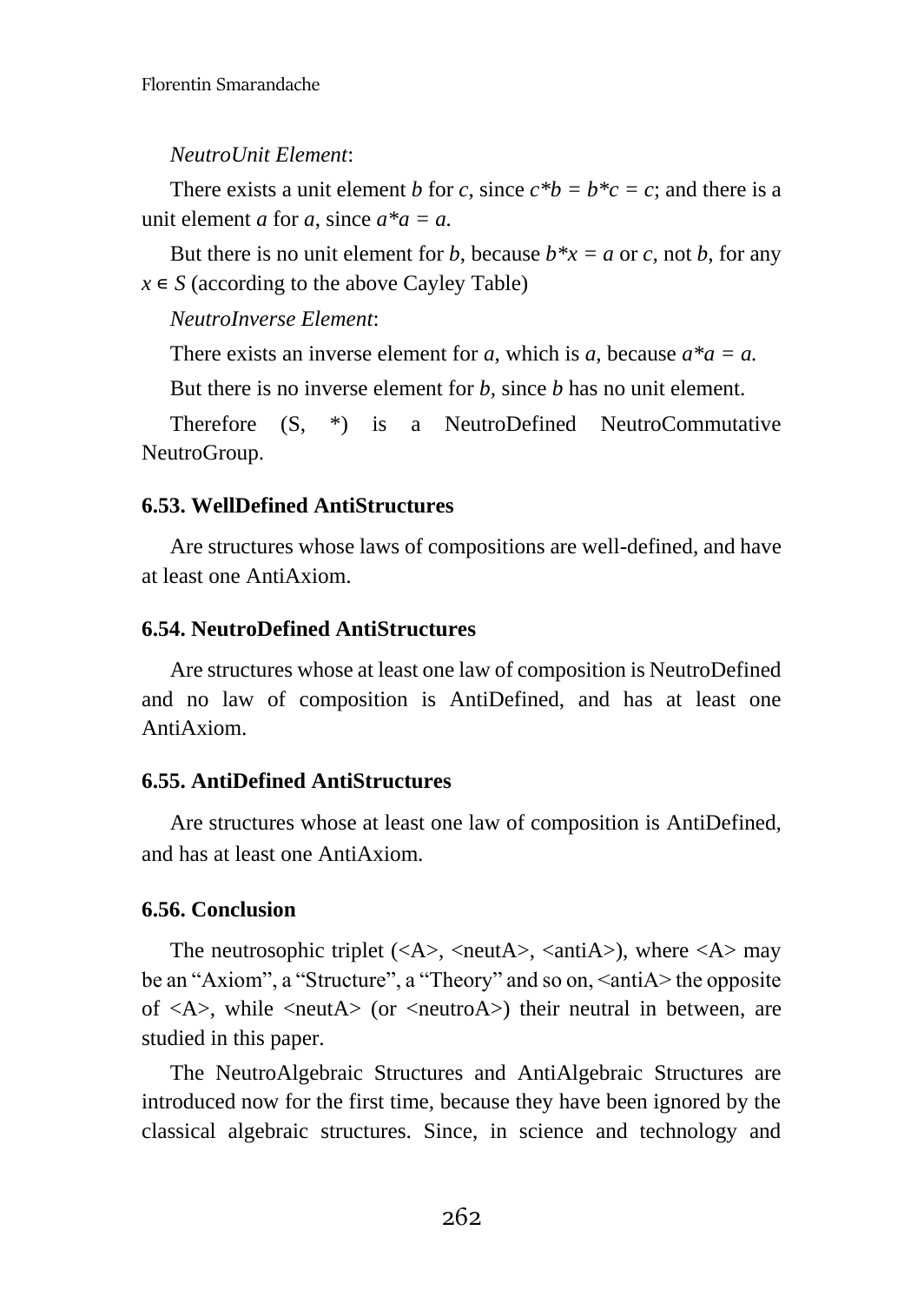# *NeutroUnit Element*:

There exists a unit element *b* for *c*, since  $c^*b = b^*c = c$ ; and there is a unit element *a* for *a*, since *a\*a = a.*

But there is no unit element for *b*, because  $b^*x = a$  or *c*, not *b*, for any  $x \in S$  (according to the above Cayley Table)

*NeutroInverse Element*:

There exists an inverse element for *a*, which is *a*, because  $a^*a = a$ .

But there is no inverse element for *b,* since *b* has no unit element.

Therefore (S, \*) is a NeutroDefined NeutroCommutative NeutroGroup.

# **6.53. WellDefined AntiStructures**

Are structures whose laws of compositions are well-defined, and have at least one AntiAxiom.

# **6.54. NeutroDefined AntiStructures**

Are structures whose at least one law of composition is NeutroDefined and no law of composition is AntiDefined, and has at least one AntiAxiom.

# **6.55. AntiDefined AntiStructures**

Are structures whose at least one law of composition is AntiDefined, and has at least one AntiAxiom.

# **6.56. Conclusion**

The neutrosophic triplet  $(\langle A \rangle, \langle \text{neut} A \rangle, \langle \text{anti} A \rangle)$ , where  $\langle A \rangle$  may be an "Axiom", a "Structure", a "Theory" and so on, <antiA> the opposite of  $\langle A \rangle$ , while  $\langle \text{neut} A \rangle$  (or  $\langle \text{neut} \rangle$  their neutral in between, are studied in this paper.

The NeutroAlgebraic Structures and AntiAlgebraic Structures are introduced now for the first time, because they have been ignored by the classical algebraic structures. Since, in science and technology and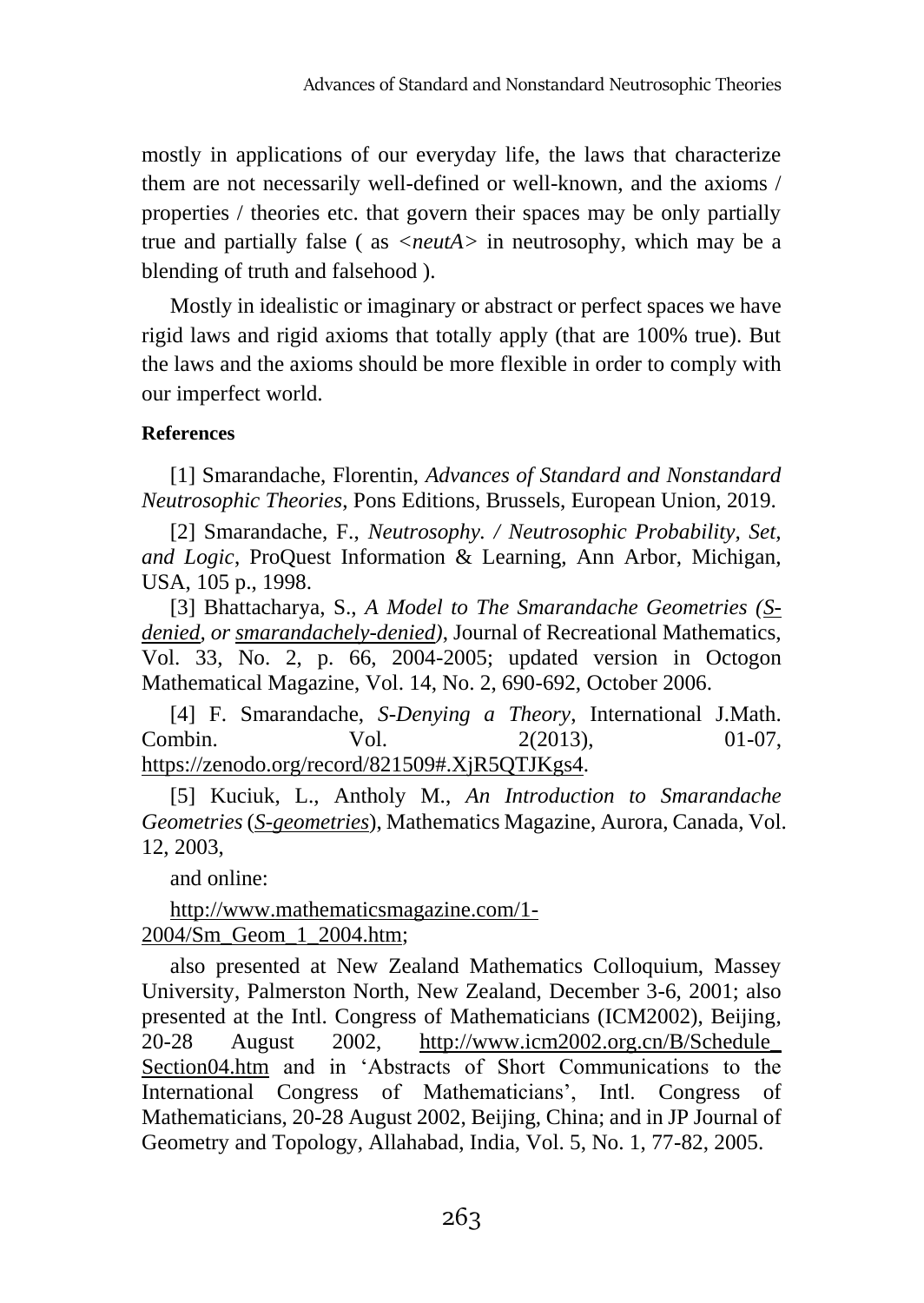mostly in applications of our everyday life, the laws that characterize them are not necessarily well-defined or well-known, and the axioms / properties / theories etc. that govern their spaces may be only partially true and partially false ( as *<neutA>* in neutrosophy, which may be a blending of truth and falsehood ).

Mostly in idealistic or imaginary or abstract or perfect spaces we have rigid laws and rigid axioms that totally apply (that are 100% true). But the laws and the axioms should be more flexible in order to comply with our imperfect world.

# **References**

[1] Smarandache, Florentin, *Advances of Standard and Nonstandard Neutrosophic Theories*, Pons Editions, Brussels, European Union, 2019.

[2] Smarandache, F., *Neutrosophy. / Neutrosophic Probability, Set, and Logic*, ProQuest Information & Learning, Ann Arbor, Michigan, USA, 105 p., 1998.

[3] Bhattacharya, S., *A Model to The Smarandache Geometries (Sdenied, or smarandachely-denied)*, Journal of Recreational Mathematics, Vol. 33, No. 2, p. 66, 2004-2005; updated version in Octogon Mathematical Magazine, Vol. 14, No. 2, 690-692, October 2006.

[4] F. Smarandache, *S-Denying a Theory*, International J.Math. Combin. Vol. 2(2013), 01-07, [https://zenodo.org/record/821509#.XjR5QTJKgs4.](https://zenodo.org/record/821509#.XjR5QTJKgs4)

[5] Kuciuk, L., Antholy M., *An Introduction to Smarandache Geometries* (*S-geometries*), Mathematics Magazine, Aurora, Canada, Vol. 12, 2003,

and online:

# [http://www.mathematicsmagazine.com/1-](http://www.mathematicsmagazine.com/1-2004/Sm_Geom_1_2004.htm) [2004/Sm\\_Geom\\_1\\_2004.htm;](http://www.mathematicsmagazine.com/1-2004/Sm_Geom_1_2004.htm)

also presented at New Zealand Mathematics Colloquium, Massey University, Palmerston North, New Zealand, December 3-6, 2001; also presented at the Intl. Congress of Mathematicians (ICM2002), Beijing, 20-28 August 2002, [http://www.icm2002.org.cn/B/Schedule\\_](http://www.icm2002.org.cn/B/Schedule_%20Section04.htm)  [Section04.htm](http://www.icm2002.org.cn/B/Schedule_%20Section04.htm) and in 'Abstracts of Short Communications to the International Congress of Mathematicians', Intl. Congress of Mathematicians, 20-28 August 2002, Beijing, China; and in JP Journal of Geometry and Topology, Allahabad, India, Vol. 5, No. 1, 77-82, 2005.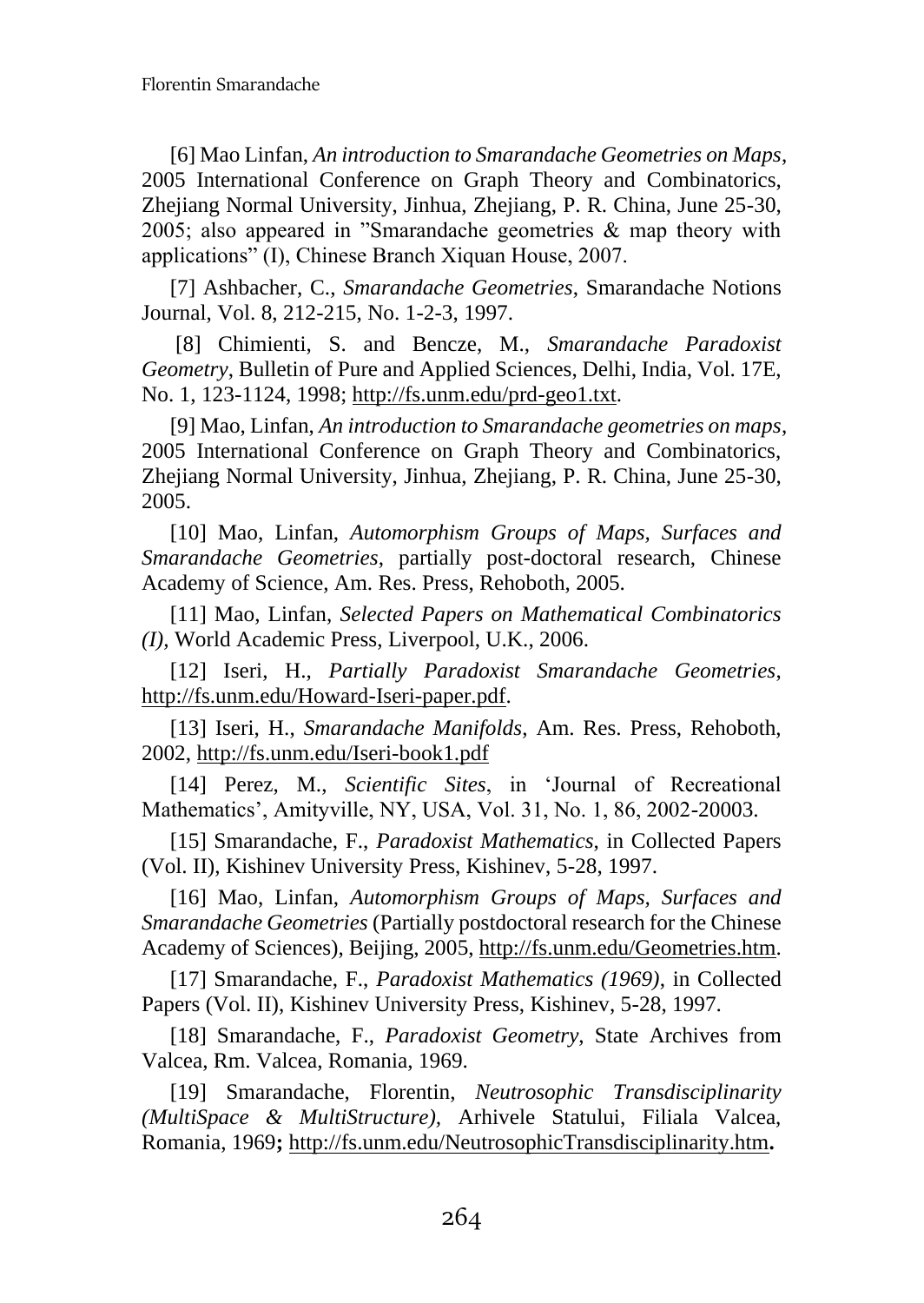[6] Mao Linfan, *An introduction to Smarandache Geometries on Maps*, 2005 International Conference on Graph Theory and Combinatorics, Zhejiang Normal University, Jinhua, Zhejiang, P. R. China, June 25-30, 2005; also appeared in "Smarandache geometries & map theory with applications" (I), Chinese Branch Xiquan House, 2007.

[7] Ashbacher, C., *Smarandache Geometries*, Smarandache Notions Journal, Vol. 8, 212-215, No. 1-2-3, 1997.

[8] Chimienti, S. and Bencze, M., *Smarandache Paradoxist Geometry*, Bulletin of Pure and Applied Sciences, Delhi, India, Vol. 17E, No. 1, 123-1124, 1998; [http://fs.unm.edu/prd-geo1.txt.](http://fs.unm.edu/prd-geo1.txt)

[9] Mao, Linfan, *An introduction to Smarandache geometries on maps*, 2005 International Conference on Graph Theory and Combinatorics, Zhejiang Normal University, Jinhua, Zhejiang, P. R. China, June 25-30, 2005.

[10] Mao, Linfan, *Automorphism Groups of Maps, Surfaces and Smarandache Geometries*, partially post-doctoral research, Chinese Academy of Science, Am. Res. Press, Rehoboth, 2005.

[11] Mao, Linfan, *Selected Papers on Mathematical Combinatorics (I),* World Academic Press, Liverpool, U.K., 2006.

[12] Iseri, H., *Partially Paradoxist Smarandache Geometries*, [http://fs.unm.edu/Howard-Iseri-paper.pdf.](http://fs.unm.edu/Howard-Iseri-paper.pdf)

[13] Iseri, H., *Smarandache Manifolds*, Am. Res. Press, Rehoboth, 2002,<http://fs.unm.edu/Iseri-book1.pdf>

[14] Perez, M., *Scientific Sites*, in 'Journal of Recreational Mathematics', Amityville, NY, USA, Vol. 31, No. 1, 86, 2002-20003.

[15] Smarandache, F., *Paradoxist Mathematics*, in Collected Papers (Vol. II), Kishinev University Press, Kishinev, 5-28, 1997.

[16] Mao, Linfan, *Automorphism Groups of Maps, Surfaces and Smarandache Geometries* (Partially postdoctoral research for the Chinese Academy of Sciences), Beijing, 2005[, http://fs.unm.edu/Geometries.htm.](http://fs.unm.edu/Geometries.htm)

[17] Smarandache, F., *Paradoxist Mathematics (1969)*, in Collected Papers (Vol. II), Kishinev University Press, Kishinev, 5-28, 1997.

[18] Smarandache, F., *Paradoxist Geometry*, State Archives from Valcea, Rm. Valcea, Romania, 1969.

[19] Smarandache, Florentin, *Neutrosophic Transdisciplinarity (MultiSpace & MultiStructure),* Arhivele Statului, Filiala Valcea, Romania, 1969**;** <http://fs.unm.edu/NeutrosophicTransdisciplinarity.htm>**.**